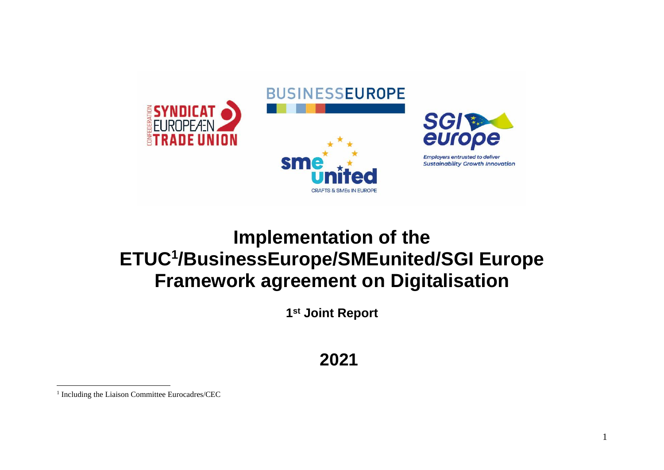

# **Implementation of the ETUC<sup>1</sup> /BusinessEurope/SMEunited/SGI Europe Framework agreement on Digitalisation**

**1 st Joint Report**

**2021**

<sup>&</sup>lt;sup>1</sup> Including the Liaison Committee Eurocadres/CEC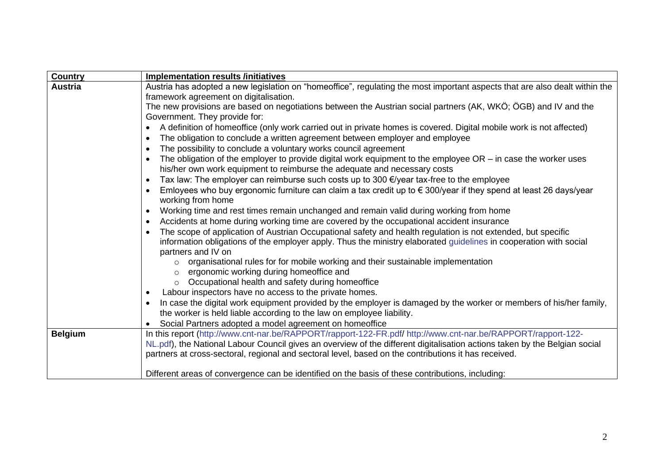| <b>Country</b> | <b>Implementation results /initiatives</b>                                                                                                                                                  |
|----------------|---------------------------------------------------------------------------------------------------------------------------------------------------------------------------------------------|
| <b>Austria</b> | Austria has adopted a new legislation on "homeoffice", regulating the most important aspects that are also dealt within the                                                                 |
|                | framework agreement on digitalisation.                                                                                                                                                      |
|                | The new provisions are based on negotiations between the Austrian social partners (AK, WKÖ; ÖGB) and IV and the                                                                             |
|                | Government. They provide for:                                                                                                                                                               |
|                | A definition of homeoffice (only work carried out in private homes is covered. Digital mobile work is not affected)                                                                         |
|                | The obligation to conclude a written agreement between employer and employee<br>$\bullet$                                                                                                   |
|                | The possibility to conclude a voluntary works council agreement                                                                                                                             |
|                | The obligation of the employer to provide digital work equipment to the employee $OR - in$ case the worker uses<br>his/her own work equipment to reimburse the adequate and necessary costs |
|                | Tax law: The employer can reimburse such costs up to 300 €/year tax-free to the employee                                                                                                    |
|                | Emloyees who buy ergonomic furniture can claim a tax credit up to € 300/year if they spend at least 26 days/year<br>working from home                                                       |
|                | Working time and rest times remain unchanged and remain valid during working from home                                                                                                      |
|                | Accidents at home during working time are covered by the occupational accident insurance                                                                                                    |
|                | The scope of application of Austrian Occupational safety and health regulation is not extended, but specific                                                                                |
|                | information obligations of the employer apply. Thus the ministry elaborated guidelines in cooperation with social                                                                           |
|                | partners and IV on                                                                                                                                                                          |
|                | organisational rules for for mobile working and their sustainable implementation<br>$\Omega$                                                                                                |
|                | ergonomic working during homeoffice and                                                                                                                                                     |
|                | Occupational health and safety during homeoffice<br>$\circ$                                                                                                                                 |
|                | Labour inspectors have no access to the private homes.                                                                                                                                      |
|                | In case the digital work equipment provided by the employer is damaged by the worker or members of his/her family,                                                                          |
|                | the worker is held liable according to the law on employee liability.                                                                                                                       |
|                | Social Partners adopted a model agreement on homeoffice                                                                                                                                     |
| <b>Belgium</b> | In this report (http://www.cnt-nar.be/RAPPORT/rapport-122-FR.pdf/ http://www.cnt-nar.be/RAPPORT/rapport-122-                                                                                |
|                | NL.pdf), the National Labour Council gives an overview of the different digitalisation actions taken by the Belgian social                                                                  |
|                | partners at cross-sectoral, regional and sectoral level, based on the contributions it has received.                                                                                        |
|                | Different areas of convergence can be identified on the basis of these contributions, including:                                                                                            |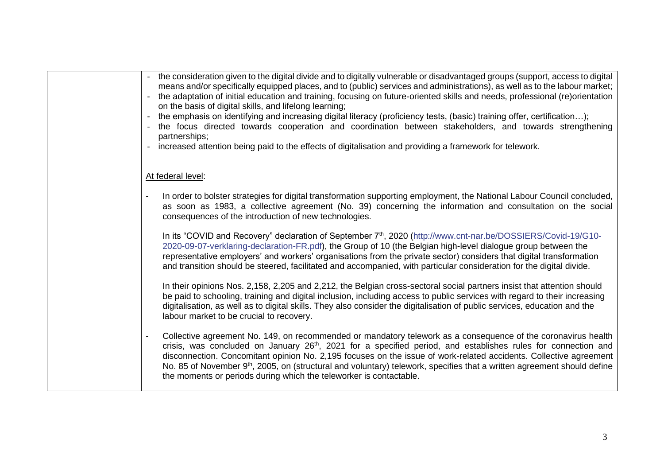| the consideration given to the digital divide and to digitally vulnerable or disadvantaged groups (support, access to digital<br>means and/or specifically equipped places, and to (public) services and administrations), as well as to the labour market;<br>the adaptation of initial education and training, focusing on future-oriented skills and needs, professional (re)orientation<br>on the basis of digital skills, and lifelong learning;<br>the emphasis on identifying and increasing digital literacy (proficiency tests, (basic) training offer, certification);<br>the focus directed towards cooperation and coordination between stakeholders, and towards strengthening<br>partnerships;<br>increased attention being paid to the effects of digitalisation and providing a framework for telework.<br>$\sim$ |
|-----------------------------------------------------------------------------------------------------------------------------------------------------------------------------------------------------------------------------------------------------------------------------------------------------------------------------------------------------------------------------------------------------------------------------------------------------------------------------------------------------------------------------------------------------------------------------------------------------------------------------------------------------------------------------------------------------------------------------------------------------------------------------------------------------------------------------------|
| At federal level:                                                                                                                                                                                                                                                                                                                                                                                                                                                                                                                                                                                                                                                                                                                                                                                                                 |
| In order to bolster strategies for digital transformation supporting employment, the National Labour Council concluded,<br>as soon as 1983, a collective agreement (No. 39) concerning the information and consultation on the social<br>consequences of the introduction of new technologies.                                                                                                                                                                                                                                                                                                                                                                                                                                                                                                                                    |
| In its "COVID and Recovery" declaration of September 7 <sup>th</sup> , 2020 (http://www.cnt-nar.be/DOSSIERS/Covid-19/G10-<br>2020-09-07-verklaring-declaration-FR.pdf), the Group of 10 (the Belgian high-level dialogue group between the<br>representative employers' and workers' organisations from the private sector) considers that digital transformation<br>and transition should be steered, facilitated and accompanied, with particular consideration for the digital divide.                                                                                                                                                                                                                                                                                                                                         |
| In their opinions Nos. 2,158, 2,205 and 2,212, the Belgian cross-sectoral social partners insist that attention should<br>be paid to schooling, training and digital inclusion, including access to public services with regard to their increasing<br>digitalisation, as well as to digital skills. They also consider the digitalisation of public services, education and the<br>labour market to be crucial to recovery.                                                                                                                                                                                                                                                                                                                                                                                                      |
| Collective agreement No. 149, on recommended or mandatory telework as a consequence of the coronavirus health<br>crisis, was concluded on January 26 <sup>th</sup> , 2021 for a specified period, and establishes rules for connection and<br>disconnection. Concomitant opinion No. 2,195 focuses on the issue of work-related accidents. Collective agreement<br>No. 85 of November 9 <sup>th</sup> , 2005, on (structural and voluntary) telework, specifies that a written agreement should define<br>the moments or periods during which the teleworker is contactable.                                                                                                                                                                                                                                                      |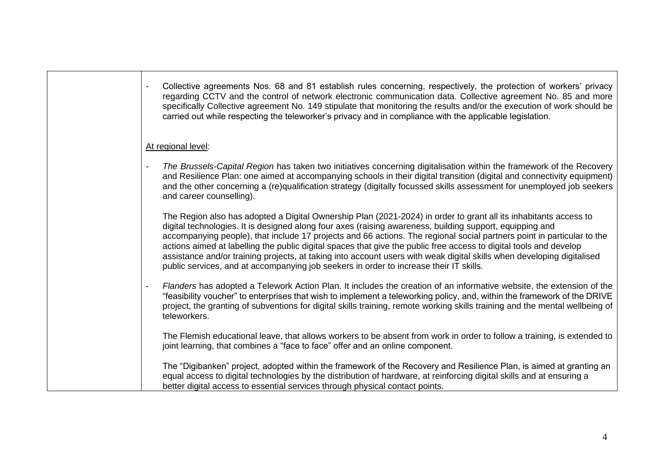| Collective agreements Nos. 68 and 81 establish rules concerning, respectively, the protection of workers' privacy<br>regarding CCTV and the control of network electronic communication data. Collective agreement No. 85 and more<br>specifically Collective agreement No. 149 stipulate that monitoring the results and/or the execution of work should be<br>carried out while respecting the teleworker's privacy and in compliance with the applicable legislation.                                                                                                                                                                                                                         |
|--------------------------------------------------------------------------------------------------------------------------------------------------------------------------------------------------------------------------------------------------------------------------------------------------------------------------------------------------------------------------------------------------------------------------------------------------------------------------------------------------------------------------------------------------------------------------------------------------------------------------------------------------------------------------------------------------|
| At regional level:                                                                                                                                                                                                                                                                                                                                                                                                                                                                                                                                                                                                                                                                               |
| The Brussels-Capital Region has taken two initiatives concerning digitalisation within the framework of the Recovery<br>and Resilience Plan: one aimed at accompanying schools in their digital transition (digital and connectivity equipment)<br>and the other concerning a (re)qualification strategy (digitally focussed skills assessment for unemployed job seekers<br>and career counselling).                                                                                                                                                                                                                                                                                            |
| The Region also has adopted a Digital Ownership Plan (2021-2024) in order to grant all its inhabitants access to<br>digital technologies. It is designed along four axes (raising awareness, building support, equipping and<br>accompanying people), that include 17 projects and 66 actions. The regional social partners point in particular to the<br>actions aimed at labelling the public digital spaces that give the public free access to digital tools and develop<br>assistance and/or training projects, at taking into account users with weak digital skills when developing digitalised<br>public services, and at accompanying job seekers in order to increase their IT skills. |
| Flanders has adopted a Telework Action Plan. It includes the creation of an informative website, the extension of the<br>"feasibility voucher" to enterprises that wish to implement a teleworking policy, and, within the framework of the DRIVE<br>project, the granting of subventions for digital skills training, remote working skills training and the mental wellbeing of<br>teleworkers.                                                                                                                                                                                                                                                                                                |
| The Flemish educational leave, that allows workers to be absent from work in order to follow a training, is extended to<br>joint learning, that combines a "face to face" offer and an online component.                                                                                                                                                                                                                                                                                                                                                                                                                                                                                         |
| The "Digibanken" project, adopted within the framework of the Recovery and Resilience Plan, is aimed at granting an<br>equal access to digital technologies by the distribution of hardware, at reinforcing digital skills and at ensuring a<br>better digital access to essential services through physical contact points.                                                                                                                                                                                                                                                                                                                                                                     |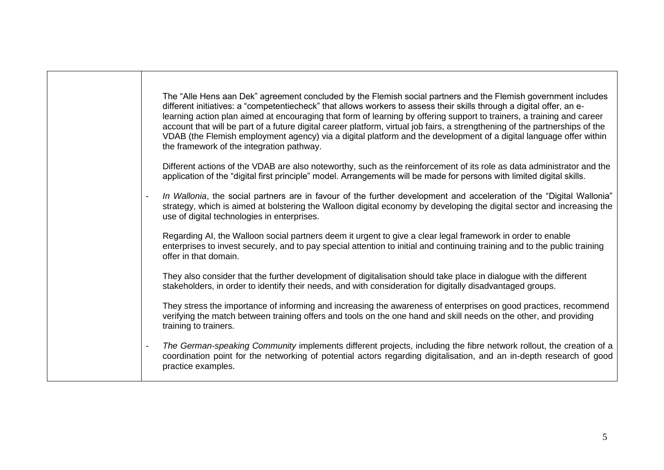| The "Alle Hens aan Dek" agreement concluded by the Flemish social partners and the Flemish government includes<br>different initiatives: a "competentiecheck" that allows workers to assess their skills through a digital offer, an e-<br>learning action plan aimed at encouraging that form of learning by offering support to trainers, a training and career<br>account that will be part of a future digital career platform, virtual job fairs, a strengthening of the partnerships of the<br>VDAB (the Flemish employment agency) via a digital platform and the development of a digital language offer within<br>the framework of the integration pathway. |
|----------------------------------------------------------------------------------------------------------------------------------------------------------------------------------------------------------------------------------------------------------------------------------------------------------------------------------------------------------------------------------------------------------------------------------------------------------------------------------------------------------------------------------------------------------------------------------------------------------------------------------------------------------------------|
| Different actions of the VDAB are also noteworthy, such as the reinforcement of its role as data administrator and the<br>application of the "digital first principle" model. Arrangements will be made for persons with limited digital skills.                                                                                                                                                                                                                                                                                                                                                                                                                     |
| In Wallonia, the social partners are in favour of the further development and acceleration of the "Digital Wallonia"<br>$\blacksquare$<br>strategy, which is aimed at bolstering the Walloon digital economy by developing the digital sector and increasing the<br>use of digital technologies in enterprises.                                                                                                                                                                                                                                                                                                                                                      |
| Regarding AI, the Walloon social partners deem it urgent to give a clear legal framework in order to enable<br>enterprises to invest securely, and to pay special attention to initial and continuing training and to the public training<br>offer in that domain.                                                                                                                                                                                                                                                                                                                                                                                                   |
| They also consider that the further development of digitalisation should take place in dialogue with the different<br>stakeholders, in order to identify their needs, and with consideration for digitally disadvantaged groups.                                                                                                                                                                                                                                                                                                                                                                                                                                     |
| They stress the importance of informing and increasing the awareness of enterprises on good practices, recommend<br>verifying the match between training offers and tools on the one hand and skill needs on the other, and providing<br>training to trainers.                                                                                                                                                                                                                                                                                                                                                                                                       |
| The German-speaking Community implements different projects, including the fibre network rollout, the creation of a<br>$\overline{\phantom{a}}$<br>coordination point for the networking of potential actors regarding digitalisation, and an in-depth research of good<br>practice examples.                                                                                                                                                                                                                                                                                                                                                                        |
|                                                                                                                                                                                                                                                                                                                                                                                                                                                                                                                                                                                                                                                                      |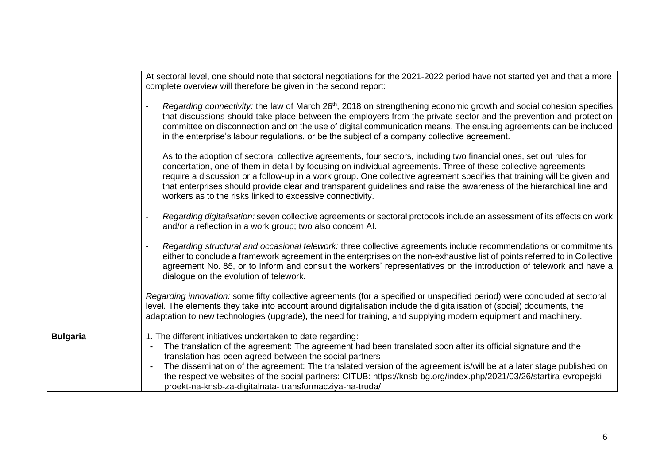|                 | At sectoral level, one should note that sectoral negotiations for the 2021-2022 period have not started yet and that a more                                                                                                                                                                                                                                                                                                                                                                                                                                         |
|-----------------|---------------------------------------------------------------------------------------------------------------------------------------------------------------------------------------------------------------------------------------------------------------------------------------------------------------------------------------------------------------------------------------------------------------------------------------------------------------------------------------------------------------------------------------------------------------------|
|                 | complete overview will therefore be given in the second report:                                                                                                                                                                                                                                                                                                                                                                                                                                                                                                     |
|                 | Regarding connectivity: the law of March 26 <sup>th</sup> , 2018 on strengthening economic growth and social cohesion specifies<br>that discussions should take place between the employers from the private sector and the prevention and protection<br>committee on disconnection and on the use of digital communication means. The ensuing agreements can be included<br>in the enterprise's labour regulations, or be the subject of a company collective agreement.                                                                                           |
|                 | As to the adoption of sectoral collective agreements, four sectors, including two financial ones, set out rules for<br>concertation, one of them in detail by focusing on individual agreements. Three of these collective agreements<br>require a discussion or a follow-up in a work group. One collective agreement specifies that training will be given and<br>that enterprises should provide clear and transparent guidelines and raise the awareness of the hierarchical line and<br>workers as to the risks linked to excessive connectivity.              |
|                 | Regarding digitalisation: seven collective agreements or sectoral protocols include an assessment of its effects on work<br>and/or a reflection in a work group; two also concern AI.                                                                                                                                                                                                                                                                                                                                                                               |
|                 | Regarding structural and occasional telework: three collective agreements include recommendations or commitments<br>either to conclude a framework agreement in the enterprises on the non-exhaustive list of points referred to in Collective<br>agreement No. 85, or to inform and consult the workers' representatives on the introduction of telework and have a<br>dialogue on the evolution of telework.                                                                                                                                                      |
|                 | Regarding innovation: some fifty collective agreements (for a specified or unspecified period) were concluded at sectoral<br>level. The elements they take into account around digitalisation include the digitalisation of (social) documents, the<br>adaptation to new technologies (upgrade), the need for training, and supplying modern equipment and machinery.                                                                                                                                                                                               |
| <b>Bulgaria</b> | 1. The different initiatives undertaken to date regarding:<br>The translation of the agreement: The agreement had been translated soon after its official signature and the<br>$\blacksquare$<br>translation has been agreed between the social partners<br>The dissemination of the agreement: The translated version of the agreement is/will be at a later stage published on<br>the respective websites of the social partners: CITUB: https://knsb-bg.org/index.php/2021/03/26/startira-evropejski-<br>proekt-na-knsb-za-digitalnata-transformacziya-na-truda/ |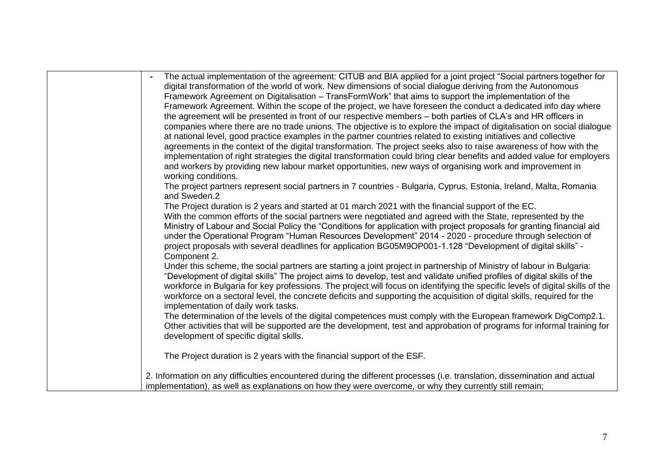| The actual implementation of the agreement: CITUB and BIA applied for a joint project "Social partners together for           |
|-------------------------------------------------------------------------------------------------------------------------------|
| digital transformation of the world of work. New dimensions of social dialogue deriving from the Autonomous                   |
| Framework Agreement on Digitalisation - TransFormWork" that aims to support the implementation of the                         |
| Framework Agreement. Within the scope of the project, we have foreseen the conduct a dedicated info day where                 |
| the agreement will be presented in front of our respective members – both parties of CLA's and HR officers in                 |
| companies where there are no trade unions. The objective is to explore the impact of digitalisation on social dialogue        |
| at national level, good practice examples in the partner countries related to existing initiatives and collective             |
| agreements in the context of the digital transformation. The project seeks also to raise awareness of how with the            |
| implementation of right strategies the digital transformation could bring clear benefits and added value for employers        |
| and workers by providing new labour market opportunities, new ways of organising work and improvement in                      |
| working conditions.                                                                                                           |
| The project partners represent social partners in 7 countries - Bulgaria, Cyprus, Estonia, Ireland, Malta, Romania            |
| and Sweden.2                                                                                                                  |
| The Project duration is 2 years and started at 01 march 2021 with the financial support of the EC.                            |
| With the common efforts of the social partners were negotiated and agreed with the State, represented by the                  |
| Ministry of Labour and Social Policy the "Conditions for application with project proposals for granting financial aid        |
| under the Operational Program "Human Resources Development" 2014 - 2020 - procedure through selection of                      |
| project proposals with several deadlines for application BG05M9OP001-1.128 "Development of digital skills" -                  |
| Component 2.                                                                                                                  |
| Under this scheme, the social partners are starting a joint project in partnership of Ministry of labour in Bulgaria:         |
| "Development of digital skills" The project aims to develop, test and validate unified profiles of digital skills of the      |
| workforce in Bulgaria for key professions. The project will focus on identifying the specific levels of digital skills of the |
| workforce on a sectoral level, the concrete deficits and supporting the acquisition of digital skills, required for the       |
| implementation of daily work tasks.                                                                                           |
| The determination of the levels of the digital competences must comply with the European framework DigComp2.1.                |
| Other activities that will be supported are the development, test and approbation of programs for informal training for       |
| development of specific digital skills.                                                                                       |
|                                                                                                                               |
| The Project duration is 2 years with the financial support of the ESF.                                                        |
| 2. Information on any difficulties encountered during the different processes (i.e. translation, dissemination and actual     |
| implementation), as well as explanations on how they were overcome, or why they currently still remain;                       |
|                                                                                                                               |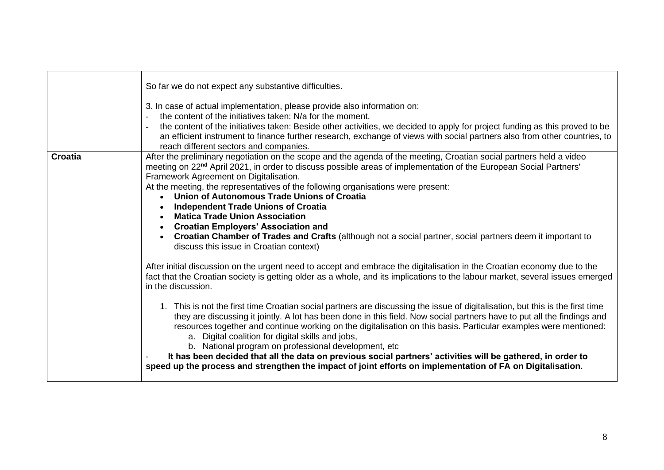|                | So far we do not expect any substantive difficulties.<br>3. In case of actual implementation, please provide also information on:<br>the content of the initiatives taken: N/a for the moment.<br>the content of the initiatives taken: Beside other activities, we decided to apply for project funding as this proved to be<br>an efficient instrument to finance further research, exchange of views with social partners also from other countries, to<br>reach different sectors and companies.                                                                                                                                                                                                                                                                                                                                                                                                                                                                                                     |
|----------------|----------------------------------------------------------------------------------------------------------------------------------------------------------------------------------------------------------------------------------------------------------------------------------------------------------------------------------------------------------------------------------------------------------------------------------------------------------------------------------------------------------------------------------------------------------------------------------------------------------------------------------------------------------------------------------------------------------------------------------------------------------------------------------------------------------------------------------------------------------------------------------------------------------------------------------------------------------------------------------------------------------|
| <b>Croatia</b> | After the preliminary negotiation on the scope and the agenda of the meeting, Croatian social partners held a video<br>meeting on 22 <sup>nd</sup> April 2021, in order to discuss possible areas of implementation of the European Social Partners'<br>Framework Agreement on Digitalisation.<br>At the meeting, the representatives of the following organisations were present:<br>• Union of Autonomous Trade Unions of Croatia<br><b>Independent Trade Unions of Croatia</b><br><b>Matica Trade Union Association</b><br>• Croatian Employers' Association and<br>Croatian Chamber of Trades and Crafts (although not a social partner, social partners deem it important to<br>discuss this issue in Croatian context)                                                                                                                                                                                                                                                                             |
|                | After initial discussion on the urgent need to accept and embrace the digitalisation in the Croatian economy due to the<br>fact that the Croatian society is getting older as a whole, and its implications to the labour market, several issues emerged<br>in the discussion.<br>1. This is not the first time Croatian social partners are discussing the issue of digitalisation, but this is the first time<br>they are discussing it jointly. A lot has been done in this field. Now social partners have to put all the findings and<br>resources together and continue working on the digitalisation on this basis. Particular examples were mentioned:<br>a. Digital coalition for digital skills and jobs,<br>b. National program on professional development, etc<br>It has been decided that all the data on previous social partners' activities will be gathered, in order to<br>speed up the process and strengthen the impact of joint efforts on implementation of FA on Digitalisation. |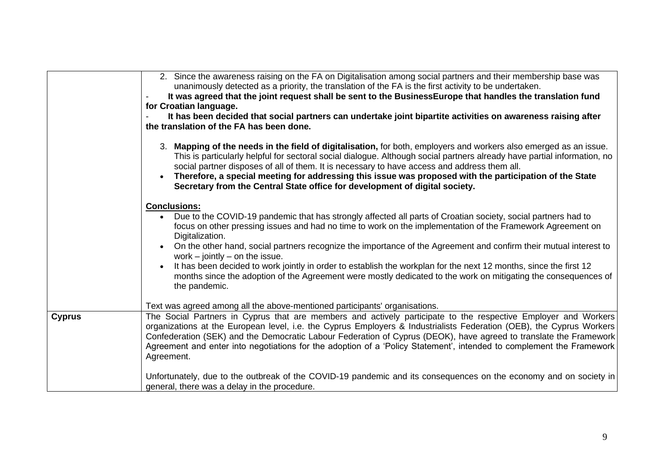|               | 2. Since the awareness raising on the FA on Digitalisation among social partners and their membership base was<br>unanimously detected as a priority, the translation of the FA is the first activity to be undertaken.<br>It was agreed that the joint request shall be sent to the Business Europe that handles the translation fund<br>for Croatian language.<br>It has been decided that social partners can undertake joint bipartite activities on awareness raising after<br>the translation of the FA has been done.                                                                                                                                                               |
|---------------|--------------------------------------------------------------------------------------------------------------------------------------------------------------------------------------------------------------------------------------------------------------------------------------------------------------------------------------------------------------------------------------------------------------------------------------------------------------------------------------------------------------------------------------------------------------------------------------------------------------------------------------------------------------------------------------------|
|               | 3. Mapping of the needs in the field of digitalisation, for both, employers and workers also emerged as an issue.<br>This is particularly helpful for sectoral social dialogue. Although social partners already have partial information, no<br>social partner disposes of all of them. It is necessary to have access and address them all.<br>Therefore, a special meeting for addressing this issue was proposed with the participation of the State<br>Secretary from the Central State office for development of digital society.                                                                                                                                                    |
|               | <b>Conclusions:</b><br>• Due to the COVID-19 pandemic that has strongly affected all parts of Croatian society, social partners had to<br>focus on other pressing issues and had no time to work on the implementation of the Framework Agreement on<br>Digitalization.<br>On the other hand, social partners recognize the importance of the Agreement and confirm their mutual interest to<br>work $-$ jointly $-$ on the issue.<br>It has been decided to work jointly in order to establish the workplan for the next 12 months, since the first 12<br>months since the adoption of the Agreement were mostly dedicated to the work on mitigating the consequences of<br>the pandemic. |
|               | Text was agreed among all the above-mentioned participants' organisations.                                                                                                                                                                                                                                                                                                                                                                                                                                                                                                                                                                                                                 |
| <b>Cyprus</b> | The Social Partners in Cyprus that are members and actively participate to the respective Employer and Workers<br>organizations at the European level, i.e. the Cyprus Employers & Industrialists Federation (OEB), the Cyprus Workers<br>Confederation (SEK) and the Democratic Labour Federation of Cyprus (DEOK), have agreed to translate the Framework<br>Agreement and enter into negotiations for the adoption of a 'Policy Statement', intended to complement the Framework<br>Agreement.                                                                                                                                                                                          |
|               | Unfortunately, due to the outbreak of the COVID-19 pandemic and its consequences on the economy and on society in<br>general, there was a delay in the procedure.                                                                                                                                                                                                                                                                                                                                                                                                                                                                                                                          |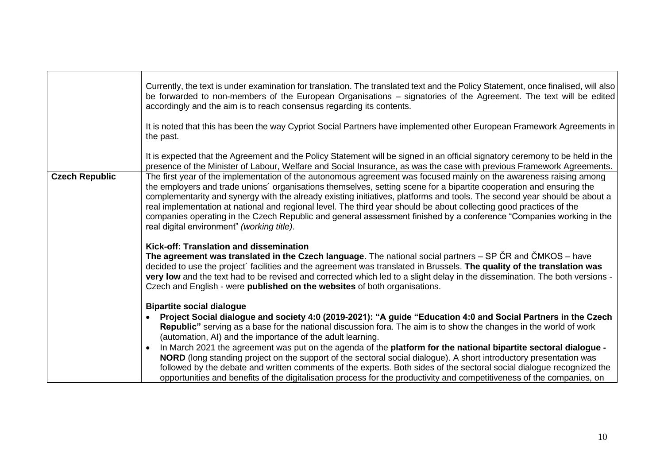|                       | Currently, the text is under examination for translation. The translated text and the Policy Statement, once finalised, will also<br>be forwarded to non-members of the European Organisations - signatories of the Agreement. The text will be edited<br>accordingly and the aim is to reach consensus regarding its contents.                                                                                                                                                                                                                                                                                                                                                                                                                                                                                                                                                                                               |
|-----------------------|-------------------------------------------------------------------------------------------------------------------------------------------------------------------------------------------------------------------------------------------------------------------------------------------------------------------------------------------------------------------------------------------------------------------------------------------------------------------------------------------------------------------------------------------------------------------------------------------------------------------------------------------------------------------------------------------------------------------------------------------------------------------------------------------------------------------------------------------------------------------------------------------------------------------------------|
|                       | It is noted that this has been the way Cypriot Social Partners have implemented other European Framework Agreements in<br>the past.                                                                                                                                                                                                                                                                                                                                                                                                                                                                                                                                                                                                                                                                                                                                                                                           |
| <b>Czech Republic</b> | It is expected that the Agreement and the Policy Statement will be signed in an official signatory ceremony to be held in the<br>presence of the Minister of Labour, Welfare and Social Insurance, as was the case with previous Framework Agreements.<br>The first year of the implementation of the autonomous agreement was focused mainly on the awareness raising among<br>the employers and trade unions' organisations themselves, setting scene for a bipartite cooperation and ensuring the<br>complementarity and synergy with the already existing initiatives, platforms and tools. The second year should be about a<br>real implementation at national and regional level. The third year should be about collecting good practices of the<br>companies operating in the Czech Republic and general assessment finished by a conference "Companies working in the<br>real digital environment" (working title). |
|                       | Kick-off: Translation and dissemination<br>The agreement was translated in the Czech language. The national social partners $-$ SP CR and CMKOS $-$ have<br>decided to use the project' facilities and the agreement was translated in Brussels. The quality of the translation was<br>very low and the text had to be revised and corrected which led to a slight delay in the dissemination. The both versions -<br>Czech and English - were <b>published on the websites</b> of both organisations.                                                                                                                                                                                                                                                                                                                                                                                                                        |
|                       | <b>Bipartite social dialogue</b><br>Project Social dialogue and society 4:0 (2019-2021): "A guide "Education 4:0 and Social Partners in the Czech<br>Republic" serving as a base for the national discussion fora. The aim is to show the changes in the world of work<br>(automation, AI) and the importance of the adult learning.<br>In March 2021 the agreement was put on the agenda of the platform for the national bipartite sectoral dialogue -<br>NORD (long standing project on the support of the sectoral social dialogue). A short introductory presentation was<br>followed by the debate and written comments of the experts. Both sides of the sectoral social dialogue recognized the<br>opportunities and benefits of the digitalisation process for the productivity and competitiveness of the companies, on                                                                                             |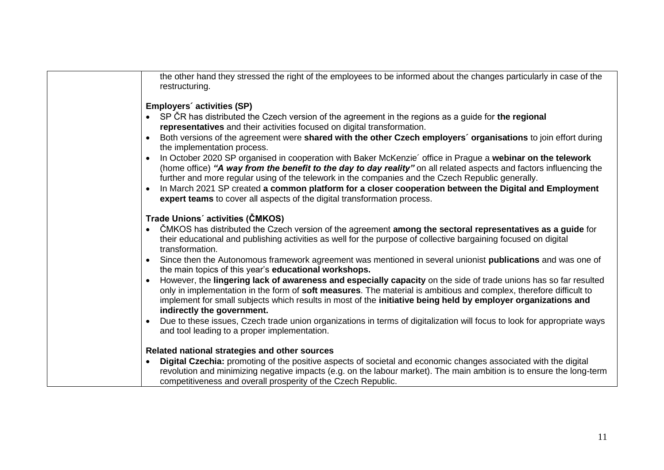| the other hand they stressed the right of the employees to be informed about the changes particularly in case of the<br>restructuring.                                                                                                                                                                                                                                                |
|---------------------------------------------------------------------------------------------------------------------------------------------------------------------------------------------------------------------------------------------------------------------------------------------------------------------------------------------------------------------------------------|
| Employers' activities (SP)                                                                                                                                                                                                                                                                                                                                                            |
| SP CR has distributed the Czech version of the agreement in the regions as a guide for the regional<br>representatives and their activities focused on digital transformation.                                                                                                                                                                                                        |
| Both versions of the agreement were shared with the other Czech employers' organisations to join effort during<br>the implementation process.                                                                                                                                                                                                                                         |
| In October 2020 SP organised in cooperation with Baker McKenzie' office in Prague a webinar on the telework<br>(home office) "A way from the benefit to the day to day reality" on all related aspects and factors influencing the<br>further and more regular using of the telework in the companies and the Czech Republic generally.                                               |
| In March 2021 SP created a common platform for a closer cooperation between the Digital and Employment<br>expert teams to cover all aspects of the digital transformation process.                                                                                                                                                                                                    |
| Trade Unions' activities (ČMKOS)                                                                                                                                                                                                                                                                                                                                                      |
| ČMKOS has distributed the Czech version of the agreement among the sectoral representatives as a guide for<br>their educational and publishing activities as well for the purpose of collective bargaining focused on digital<br>transformation.                                                                                                                                      |
| Since then the Autonomous framework agreement was mentioned in several unionist publications and was one of<br>the main topics of this year's educational workshops.                                                                                                                                                                                                                  |
| However, the lingering lack of awareness and especially capacity on the side of trade unions has so far resulted<br>only in implementation in the form of soft measures. The material is ambitious and complex, therefore difficult to<br>implement for small subjects which results in most of the initiative being held by employer organizations and<br>indirectly the government. |
| Due to these issues, Czech trade union organizations in terms of digitalization will focus to look for appropriate ways<br>and tool leading to a proper implementation.                                                                                                                                                                                                               |
| Related national strategies and other sources                                                                                                                                                                                                                                                                                                                                         |
| Digital Czechia: promoting of the positive aspects of societal and economic changes associated with the digital<br>revolution and minimizing negative impacts (e.g. on the labour market). The main ambition is to ensure the long-term<br>competitiveness and overall prosperity of the Czech Republic.                                                                              |
|                                                                                                                                                                                                                                                                                                                                                                                       |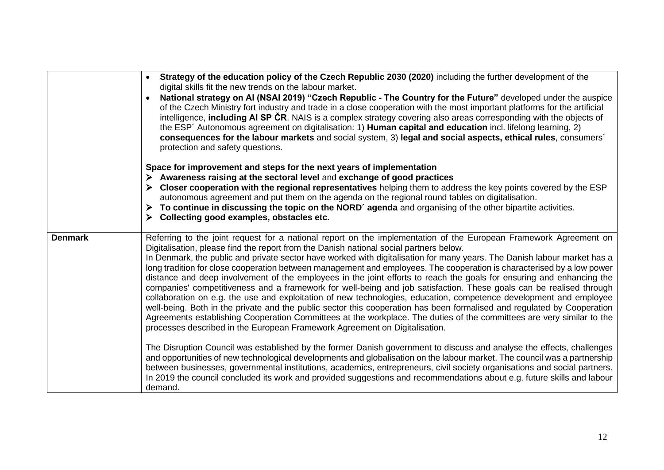|                | Strategy of the education policy of the Czech Republic 2030 (2020) including the further development of the<br>digital skills fit the new trends on the labour market.<br>National strategy on AI (NSAI 2019) "Czech Republic - The Country for the Future" developed under the auspice<br>of the Czech Ministry fort industry and trade in a close cooperation with the most important platforms for the artificial<br>intelligence, including AI SP CR. NAIS is a complex strategy covering also areas corresponding with the objects of<br>the ESP' Autonomous agreement on digitalisation: 1) Human capital and education incl. lifelong learning, 2)<br>consequences for the labour markets and social system, 3) legal and social aspects, ethical rules, consumers'<br>protection and safety questions.                                                                                                                                             |
|----------------|------------------------------------------------------------------------------------------------------------------------------------------------------------------------------------------------------------------------------------------------------------------------------------------------------------------------------------------------------------------------------------------------------------------------------------------------------------------------------------------------------------------------------------------------------------------------------------------------------------------------------------------------------------------------------------------------------------------------------------------------------------------------------------------------------------------------------------------------------------------------------------------------------------------------------------------------------------|
|                | Space for improvement and steps for the next years of implementation                                                                                                                                                                                                                                                                                                                                                                                                                                                                                                                                                                                                                                                                                                                                                                                                                                                                                       |
|                | $\triangleright$ Awareness raising at the sectoral level and exchange of good practices                                                                                                                                                                                                                                                                                                                                                                                                                                                                                                                                                                                                                                                                                                                                                                                                                                                                    |
|                | Closer cooperation with the regional representatives helping them to address the key points covered by the ESP<br>➤<br>autonomous agreement and put them on the agenda on the regional round tables on digitalisation.<br>> To continue in discussing the topic on the NORD' agenda and organising of the other bipartite activities.<br>Collecting good examples, obstacles etc.                                                                                                                                                                                                                                                                                                                                                                                                                                                                                                                                                                          |
| <b>Denmark</b> | Referring to the joint request for a national report on the implementation of the European Framework Agreement on<br>Digitalisation, please find the report from the Danish national social partners below.                                                                                                                                                                                                                                                                                                                                                                                                                                                                                                                                                                                                                                                                                                                                                |
|                | In Denmark, the public and private sector have worked with digitalisation for many years. The Danish labour market has a<br>long tradition for close cooperation between management and employees. The cooperation is characterised by a low power<br>distance and deep involvement of the employees in the joint efforts to reach the goals for ensuring and enhancing the<br>companies' competitiveness and a framework for well-being and job satisfaction. These goals can be realised through<br>collaboration on e.g. the use and exploitation of new technologies, education, competence development and employee<br>well-being. Both in the private and the public sector this cooperation has been formalised and regulated by Cooperation<br>Agreements establishing Cooperation Committees at the workplace. The duties of the committees are very similar to the<br>processes described in the European Framework Agreement on Digitalisation. |
|                | The Disruption Council was established by the former Danish government to discuss and analyse the effects, challenges<br>and opportunities of new technological developments and globalisation on the labour market. The council was a partnership<br>between businesses, governmental institutions, academics, entrepreneurs, civil society organisations and social partners.<br>In 2019 the council concluded its work and provided suggestions and recommendations about e.g. future skills and labour<br>demand.                                                                                                                                                                                                                                                                                                                                                                                                                                      |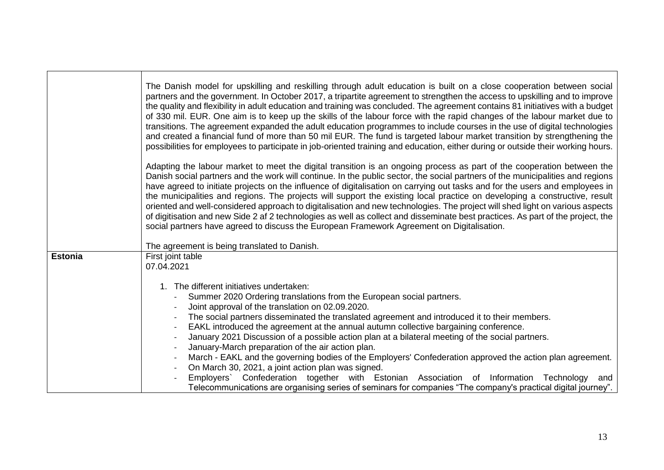|                | The Danish model for upskilling and reskilling through adult education is built on a close cooperation between social<br>partners and the government. In October 2017, a tripartite agreement to strengthen the access to upskilling and to improve<br>the quality and flexibility in adult education and training was concluded. The agreement contains 81 initiatives with a budget<br>of 330 mil. EUR. One aim is to keep up the skills of the labour force with the rapid changes of the labour market due to<br>transitions. The agreement expanded the adult education programmes to include courses in the use of digital technologies<br>and created a financial fund of more than 50 mil EUR. The fund is targeted labour market transition by strengthening the<br>possibilities for employees to participate in job-oriented training and education, either during or outside their working hours.<br>Adapting the labour market to meet the digital transition is an ongoing process as part of the cooperation between the<br>Danish social partners and the work will continue. In the public sector, the social partners of the municipalities and regions<br>have agreed to initiate projects on the influence of digitalisation on carrying out tasks and for the users and employees in<br>the municipalities and regions. The projects will support the existing local practice on developing a constructive, result<br>oriented and well-considered approach to digitalisation and new technologies. The project will shed light on various aspects<br>of digitisation and new Side 2 af 2 technologies as well as collect and disseminate best practices. As part of the project, the<br>social partners have agreed to discuss the European Framework Agreement on Digitalisation. |
|----------------|----------------------------------------------------------------------------------------------------------------------------------------------------------------------------------------------------------------------------------------------------------------------------------------------------------------------------------------------------------------------------------------------------------------------------------------------------------------------------------------------------------------------------------------------------------------------------------------------------------------------------------------------------------------------------------------------------------------------------------------------------------------------------------------------------------------------------------------------------------------------------------------------------------------------------------------------------------------------------------------------------------------------------------------------------------------------------------------------------------------------------------------------------------------------------------------------------------------------------------------------------------------------------------------------------------------------------------------------------------------------------------------------------------------------------------------------------------------------------------------------------------------------------------------------------------------------------------------------------------------------------------------------------------------------------------------------------------------------------------------------------------------------------------------------------------|
|                | The agreement is being translated to Danish.                                                                                                                                                                                                                                                                                                                                                                                                                                                                                                                                                                                                                                                                                                                                                                                                                                                                                                                                                                                                                                                                                                                                                                                                                                                                                                                                                                                                                                                                                                                                                                                                                                                                                                                                                             |
| <b>Estonia</b> | First joint table<br>07.04.2021<br>The different initiatives undertaken:<br>$1_{-}$<br>Summer 2020 Ordering translations from the European social partners.<br>Joint approval of the translation on 02.09.2020.<br>The social partners disseminated the translated agreement and introduced it to their members.<br>EAKL introduced the agreement at the annual autumn collective bargaining conference.<br>January 2021 Discussion of a possible action plan at a bilateral meeting of the social partners.<br>January-March preparation of the air action plan.<br>March - EAKL and the governing bodies of the Employers' Confederation approved the action plan agreement.<br>On March 30, 2021, a joint action plan was signed.<br>Employers` Confederation together with Estonian Association of Information Technology<br>and<br>Telecommunications are organising series of seminars for companies "The company's practical digital journey".                                                                                                                                                                                                                                                                                                                                                                                                                                                                                                                                                                                                                                                                                                                                                                                                                                                    |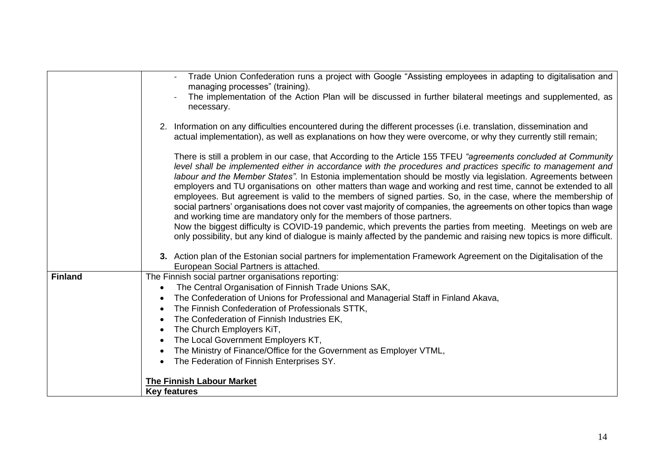|                | Trade Union Confederation runs a project with Google "Assisting employees in adapting to digitalisation and<br>managing processes" (training).                                                                                                                                                                                                                                                                                                                                                                                                                                                                                                                                                                                                                                                                                                                                                                                                                                                                                 |
|----------------|--------------------------------------------------------------------------------------------------------------------------------------------------------------------------------------------------------------------------------------------------------------------------------------------------------------------------------------------------------------------------------------------------------------------------------------------------------------------------------------------------------------------------------------------------------------------------------------------------------------------------------------------------------------------------------------------------------------------------------------------------------------------------------------------------------------------------------------------------------------------------------------------------------------------------------------------------------------------------------------------------------------------------------|
|                | The implementation of the Action Plan will be discussed in further bilateral meetings and supplemented, as<br>necessary.                                                                                                                                                                                                                                                                                                                                                                                                                                                                                                                                                                                                                                                                                                                                                                                                                                                                                                       |
|                | 2. Information on any difficulties encountered during the different processes (i.e. translation, dissemination and<br>actual implementation), as well as explanations on how they were overcome, or why they currently still remain;                                                                                                                                                                                                                                                                                                                                                                                                                                                                                                                                                                                                                                                                                                                                                                                           |
|                | There is still a problem in our case, that According to the Article 155 TFEU "agreements concluded at Community<br>level shall be implemented either in accordance with the procedures and practices specific to management and<br>labour and the Member States". In Estonia implementation should be mostly via legislation. Agreements between<br>employers and TU organisations on other matters than wage and working and rest time, cannot be extended to all<br>employees. But agreement is valid to the members of signed parties. So, in the case, where the membership of<br>social partners' organisations does not cover vast majority of companies, the agreements on other topics than wage<br>and working time are mandatory only for the members of those partners.<br>Now the biggest difficulty is COVID-19 pandemic, which prevents the parties from meeting. Meetings on web are<br>only possibility, but any kind of dialogue is mainly affected by the pandemic and raising new topics is more difficult. |
|                | 3. Action plan of the Estonian social partners for implementation Framework Agreement on the Digitalisation of the<br>European Social Partners is attached.                                                                                                                                                                                                                                                                                                                                                                                                                                                                                                                                                                                                                                                                                                                                                                                                                                                                    |
| <b>Finland</b> | The Finnish social partner organisations reporting:                                                                                                                                                                                                                                                                                                                                                                                                                                                                                                                                                                                                                                                                                                                                                                                                                                                                                                                                                                            |
|                | The Central Organisation of Finnish Trade Unions SAK,                                                                                                                                                                                                                                                                                                                                                                                                                                                                                                                                                                                                                                                                                                                                                                                                                                                                                                                                                                          |
|                | The Confederation of Unions for Professional and Managerial Staff in Finland Akava,                                                                                                                                                                                                                                                                                                                                                                                                                                                                                                                                                                                                                                                                                                                                                                                                                                                                                                                                            |
|                | The Finnish Confederation of Professionals STTK,                                                                                                                                                                                                                                                                                                                                                                                                                                                                                                                                                                                                                                                                                                                                                                                                                                                                                                                                                                               |
|                | The Confederation of Finnish Industries EK,                                                                                                                                                                                                                                                                                                                                                                                                                                                                                                                                                                                                                                                                                                                                                                                                                                                                                                                                                                                    |
|                | The Church Employers KiT,                                                                                                                                                                                                                                                                                                                                                                                                                                                                                                                                                                                                                                                                                                                                                                                                                                                                                                                                                                                                      |
|                | The Local Government Employers KT,                                                                                                                                                                                                                                                                                                                                                                                                                                                                                                                                                                                                                                                                                                                                                                                                                                                                                                                                                                                             |
|                | The Ministry of Finance/Office for the Government as Employer VTML,                                                                                                                                                                                                                                                                                                                                                                                                                                                                                                                                                                                                                                                                                                                                                                                                                                                                                                                                                            |
|                | The Federation of Finnish Enterprises SY.                                                                                                                                                                                                                                                                                                                                                                                                                                                                                                                                                                                                                                                                                                                                                                                                                                                                                                                                                                                      |
|                | <b>The Finnish Labour Market</b>                                                                                                                                                                                                                                                                                                                                                                                                                                                                                                                                                                                                                                                                                                                                                                                                                                                                                                                                                                                               |
|                | <b>Key features</b>                                                                                                                                                                                                                                                                                                                                                                                                                                                                                                                                                                                                                                                                                                                                                                                                                                                                                                                                                                                                            |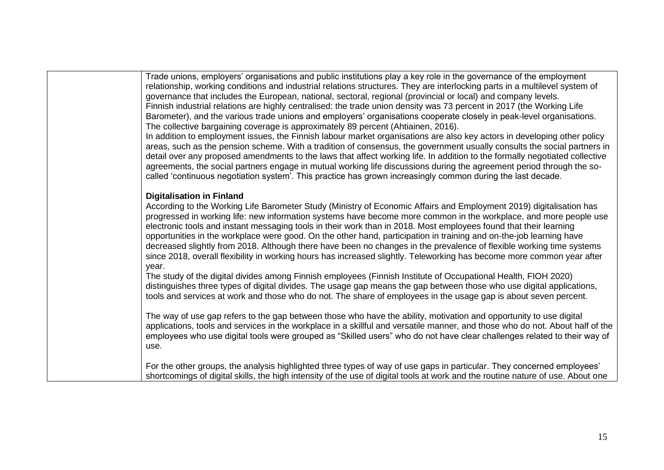Trade unions, employers' organisations and public institutions play a key role in the governance of the employment relationship, working conditions and industrial relations structures. They are interlocking parts in a multilevel system of governance that includes the European, national, sectoral, regional (provincial or local) and company levels. Finnish industrial relations are highly centralised: the trade union density was 73 percent in 2017 (the Working Life Barometer), and the various trade unions and employers' organisations cooperate closely in peak-level organisations. The collective bargaining coverage is approximately 89 percent (Ahtiainen, 2016).

In addition to employment issues, the Finnish labour market organisations are also key actors in developing other policy areas, such as the pension scheme. With a tradition of consensus, the government usually consults the social partners in detail over any proposed amendments to the laws that affect working life. In addition to the formally negotiated collective agreements, the social partners engage in mutual working life discussions during the agreement period through the socalled 'continuous negotiation system'. This practice has grown increasingly common during the last decade.

## **Digitalisation in Finland**

According to the Working Life Barometer Study (Ministry of Economic Affairs and Employment 2019) digitalisation has progressed in working life: new information systems have become more common in the workplace, and more people use electronic tools and instant messaging tools in their work than in 2018. Most employees found that their learning opportunities in the workplace were good. On the other hand, participation in training and on-the-job learning have decreased slightly from 2018. Although there have been no changes in the prevalence of flexible working time systems since 2018, overall flexibility in working hours has increased slightly. Teleworking has become more common year after year.

The study of the digital divides among Finnish employees (Finnish Institute of Occupational Health, FIOH 2020) distinguishes three types of digital divides. The usage gap means the gap between those who use digital applications, tools and services at work and those who do not. The share of employees in the usage gap is about seven percent.

The way of use gap refers to the gap between those who have the ability, motivation and opportunity to use digital applications, tools and services in the workplace in a skillful and versatile manner, and those who do not. About half of the employees who use digital tools were grouped as "Skilled users" who do not have clear challenges related to their way of use.

For the other groups, the analysis highlighted three types of way of use gaps in particular. They concerned employees' shortcomings of digital skills, the high intensity of the use of digital tools at work and the routine nature of use. About one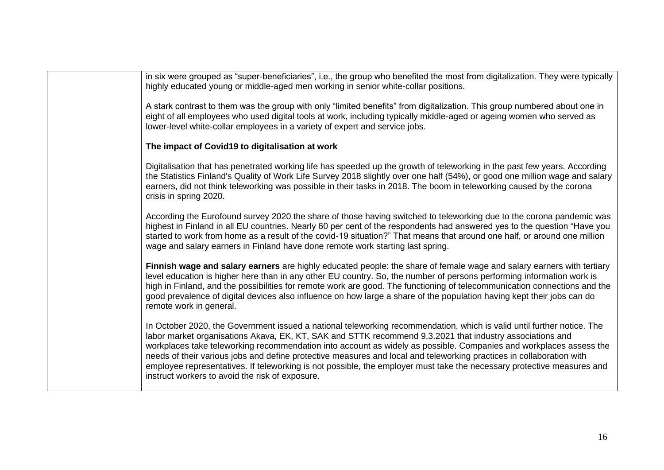in six were grouped as "super-beneficiaries", i.e., the group who benefited the most from digitalization. They were typically highly educated young or middle-aged men working in senior white-collar positions.

A stark contrast to them was the group with only "limited benefits" from digitalization. This group numbered about one in eight of all employees who used digital tools at work, including typically middle-aged or ageing women who served as lower-level white-collar employees in a variety of expert and service jobs.

#### **The impact of Covid19 to digitalisation at work**

Digitalisation that has penetrated working life has speeded up the growth of teleworking in the past few years. According the Statistics Finland's [Quality of Work Life Survey 2018](https://www.stat.fi/tup/julkaisut/tiedostot/julkaisuluettelo/ytym_1977-2018_2019_21473_net.pdf) slightly over one half (54%), or good one million wage and salary earners, did not think teleworking was possible in their tasks in 2018. The boom in teleworking caused by the corona crisis in spring 2020.

According the Eurofound survey 2020 the share of those having switched to teleworking due to the corona pandemic was highest in Finland in all EU countries. Nearly 60 per cent of the respondents had answered yes to the question "Have you started to work from home as a result of the covid-19 situation?" That means that around one half, or around one million wage and salary earners in Finland have done remote work starting last spring.

**Finnish wage and salary earners** are highly educated people: the share of female wage and salary earners with tertiary level education is higher here than in any other EU country. So, the number of persons performing information work is high in Finland, and the possibilities for remote work are good. The functioning of telecommunication connections and the good prevalence of digital devices also influence on how large a share of the population having kept their jobs can do remote work in general.

In October 2020, the Government issued a national teleworking recommendation, which is valid until further notice. The labor market organisations Akava, EK, KT, SAK and STTK recommend 9.3.2021 that industry associations and workplaces take teleworking recommendation into account as widely as possible. Companies and workplaces assess the needs of their various jobs and define protective measures and local and teleworking practices in collaboration with employee representatives. If teleworking is not possible, the employer must take the necessary protective measures and instruct workers to avoid the risk of exposure.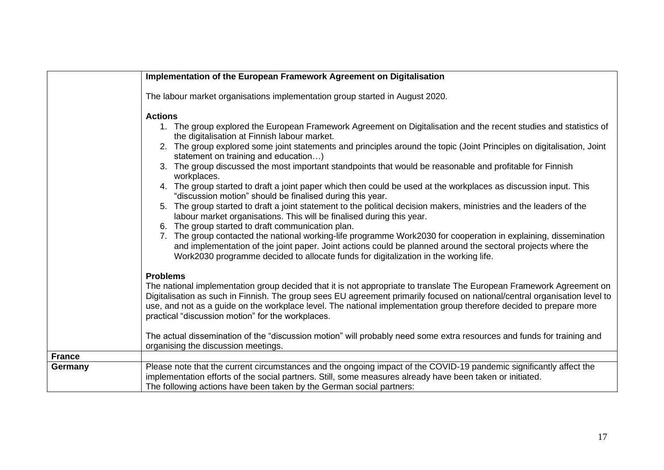|               | Implementation of the European Framework Agreement on Digitalisation                                                                                                                                                                                                                                                                                                                                                                                                                                                                                                                                                                                                                                                                                                                                                                                                                                                                                                                                                                                                                                                                                                                                                                                |
|---------------|-----------------------------------------------------------------------------------------------------------------------------------------------------------------------------------------------------------------------------------------------------------------------------------------------------------------------------------------------------------------------------------------------------------------------------------------------------------------------------------------------------------------------------------------------------------------------------------------------------------------------------------------------------------------------------------------------------------------------------------------------------------------------------------------------------------------------------------------------------------------------------------------------------------------------------------------------------------------------------------------------------------------------------------------------------------------------------------------------------------------------------------------------------------------------------------------------------------------------------------------------------|
|               | The labour market organisations implementation group started in August 2020.                                                                                                                                                                                                                                                                                                                                                                                                                                                                                                                                                                                                                                                                                                                                                                                                                                                                                                                                                                                                                                                                                                                                                                        |
|               | <b>Actions</b><br>1. The group explored the European Framework Agreement on Digitalisation and the recent studies and statistics of<br>the digitalisation at Finnish labour market.<br>2. The group explored some joint statements and principles around the topic (Joint Principles on digitalisation, Joint<br>statement on training and education)<br>3. The group discussed the most important standpoints that would be reasonable and profitable for Finnish<br>workplaces.<br>4. The group started to draft a joint paper which then could be used at the workplaces as discussion input. This<br>"discussion motion" should be finalised during this year.<br>5. The group started to draft a joint statement to the political decision makers, ministries and the leaders of the<br>labour market organisations. This will be finalised during this year.<br>6. The group started to draft communication plan.<br>7. The group contacted the national working-life programme Work2030 for cooperation in explaining, dissemination<br>and implementation of the joint paper. Joint actions could be planned around the sectoral projects where the<br>Work2030 programme decided to allocate funds for digitalization in the working life. |
|               | <b>Problems</b><br>The national implementation group decided that it is not appropriate to translate The European Framework Agreement on<br>Digitalisation as such in Finnish. The group sees EU agreement primarily focused on national/central organisation level to<br>use, and not as a guide on the workplace level. The national implementation group therefore decided to prepare more<br>practical "discussion motion" for the workplaces.<br>The actual dissemination of the "discussion motion" will probably need some extra resources and funds for training and                                                                                                                                                                                                                                                                                                                                                                                                                                                                                                                                                                                                                                                                        |
|               | organising the discussion meetings.                                                                                                                                                                                                                                                                                                                                                                                                                                                                                                                                                                                                                                                                                                                                                                                                                                                                                                                                                                                                                                                                                                                                                                                                                 |
| <b>France</b> |                                                                                                                                                                                                                                                                                                                                                                                                                                                                                                                                                                                                                                                                                                                                                                                                                                                                                                                                                                                                                                                                                                                                                                                                                                                     |
| Germany       | Please note that the current circumstances and the ongoing impact of the COVID-19 pandemic significantly affect the<br>implementation efforts of the social partners. Still, some measures already have been taken or initiated.<br>The following actions have been taken by the German social partners:                                                                                                                                                                                                                                                                                                                                                                                                                                                                                                                                                                                                                                                                                                                                                                                                                                                                                                                                            |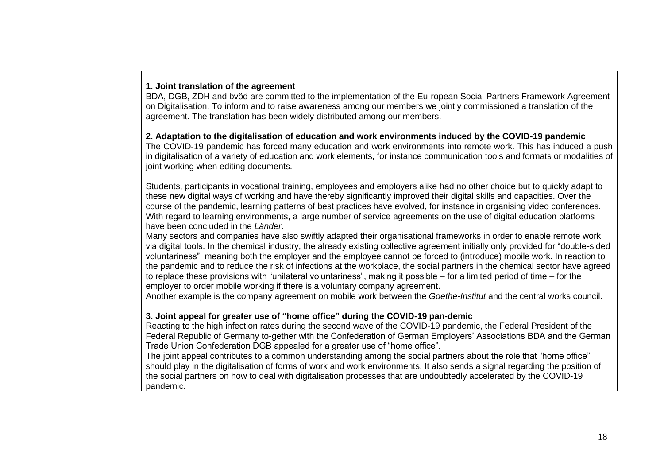# **1. Joint translation of the agreement**

BDA, DGB, ZDH and bvöd are committed to the implementation of the Eu-ropean Social Partners Framework Agreement on Digitalisation. To inform and to raise awareness among our members we jointly commissioned a translation of the agreement. The translation has been widely distributed among our members.

**2. Adaptation to the digitalisation of education and work environments induced by the COVID-19 pandemic**  The COVID-19 pandemic has forced many education and work environments into remote work. This has induced a push

in digitalisation of a variety of education and work elements, for instance communication tools and formats or modalities of joint working when editing documents.

Students, participants in vocational training, employees and employers alike had no other choice but to quickly adapt to these new digital ways of working and have thereby significantly improved their digital skills and capacities. Over the course of the pandemic, learning patterns of best practices have evolved, for instance in organising video conferences. With regard to learning environments, a large number of service agreements on the use of digital education platforms have been concluded in the *Länder*.

Many sectors and companies have also swiftly adapted their organisational frameworks in order to enable remote work via digital tools. In the chemical industry, the already existing collective agreement initially only provided for "double-sided voluntariness", meaning both the employer and the employee cannot be forced to (introduce) mobile work. In reaction to the pandemic and to reduce the risk of infections at the workplace, the social partners in the chemical sector have agreed to replace these provisions with "unilateral voluntariness", making it possible – for a limited period of time – for the employer to order mobile working if there is a voluntary company agreement.

Another example is the company agreement on mobile work between the *Goethe-Institut* and the central works council.

## **3. Joint appeal for greater use of "home office" during the COVID-19 pan-demic**

Reacting to the high infection rates during the second wave of the COVID-19 pandemic, the Federal President of the Federal Republic of Germany to-gether with the Confederation of German Employers' Associations BDA and the German Trade Union Confederation DGB appealed for a greater use of "home office".

The joint appeal contributes to a common understanding among the social partners about the role that "home office" should play in the digitalisation of forms of work and work environments. It also sends a signal regarding the position of the social partners on how to deal with digitalisation processes that are undoubtedly accelerated by the COVID-19 pandemic.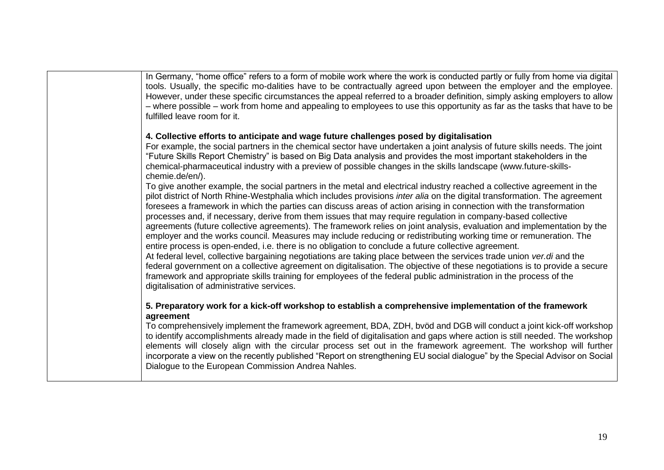In Germany, "home office" refers to a form of mobile work where the work is conducted partly or fully from home via digital tools. Usually, the specific mo-dalities have to be contractually agreed upon between the employer and the employee. However, under these specific circumstances the appeal referred to a broader definition, simply asking employers to allow – where possible – work from home and appealing to employees to use this opportunity as far as the tasks that have to be fulfilled leave room for it.

## **4. Collective efforts to anticipate and wage future challenges posed by digitalisation**

For example, the social partners in the chemical sector have undertaken a joint analysis of future skills needs. The joint "Future Skills Report Chemistry" is based on Big Data analysis and provides the most important stakeholders in the chemical-pharmaceutical industry with a preview of possible changes in the skills landscape (www.future-skillschemie.de/en/).

To give another example, the social partners in the metal and electrical industry reached a collective agreement in the pilot district of North Rhine-Westphalia which includes provisions *inter alia* on the digital transformation. The agreement foresees a framework in which the parties can discuss areas of action arising in connection with the transformation processes and, if necessary, derive from them issues that may require regulation in company-based collective agreements (future collective agreements). The framework relies on joint analysis, evaluation and implementation by the employer and the works council. Measures may include reducing or redistributing working time or remuneration. The entire process is open-ended, i.e. there is no obligation to conclude a future collective agreement. At federal level, collective bargaining negotiations are taking place between the services trade union *ver.di* and the federal government on a collective agreement on digitalisation. The objective of these negotiations is to provide a secure

framework and appropriate skills training for employees of the federal public administration in the process of the digitalisation of administrative services.

## **5. Preparatory work for a kick-off workshop to establish a comprehensive implementation of the framework agreement**

To comprehensively implement the framework agreement, BDA, ZDH, bvöd and DGB will conduct a joint kick-off workshop to identify accomplishments already made in the field of digitalisation and gaps where action is still needed. The workshop elements will closely align with the circular process set out in the framework agreement. The workshop will further incorporate a view on the recently published "Report on strengthening EU social dialogue" by the Special Advisor on Social Dialogue to the European Commission Andrea Nahles.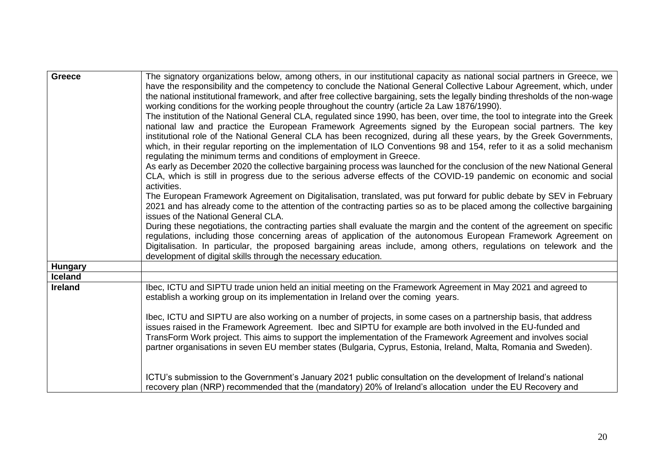| <b>Greece</b>  | The signatory organizations below, among others, in our institutional capacity as national social partners in Greece, we                                                                                                         |
|----------------|----------------------------------------------------------------------------------------------------------------------------------------------------------------------------------------------------------------------------------|
|                | have the responsibility and the competency to conclude the National General Collective Labour Agreement, which, under                                                                                                            |
|                | the national institutional framework, and after free collective bargaining, sets the legally binding thresholds of the non-wage                                                                                                  |
|                | working conditions for the working people throughout the country (article 2a Law 1876/1990).                                                                                                                                     |
|                | The institution of the National General CLA, regulated since 1990, has been, over time, the tool to integrate into the Greek                                                                                                     |
|                | national law and practice the European Framework Agreements signed by the European social partners. The key                                                                                                                      |
|                | institutional role of the National General CLA has been recognized, during all these years, by the Greek Governments,                                                                                                            |
|                | which, in their regular reporting on the implementation of ILO Conventions 98 and 154, refer to it as a solid mechanism<br>regulating the minimum terms and conditions of employment in Greece.                                  |
|                | As early as December 2020 the collective bargaining process was launched for the conclusion of the new National General                                                                                                          |
|                | CLA, which is still in progress due to the serious adverse effects of the COVID-19 pandemic on economic and social                                                                                                               |
|                | activities.                                                                                                                                                                                                                      |
|                | The European Framework Agreement on Digitalisation, translated, was put forward for public debate by SEV in February                                                                                                             |
|                | 2021 and has already come to the attention of the contracting parties so as to be placed among the collective bargaining                                                                                                         |
|                | issues of the National General CLA.                                                                                                                                                                                              |
|                | During these negotiations, the contracting parties shall evaluate the margin and the content of the agreement on specific                                                                                                        |
|                | regulations, including those concerning areas of application of the autonomous European Framework Agreement on                                                                                                                   |
|                | Digitalisation. In particular, the proposed bargaining areas include, among others, regulations on telework and the                                                                                                              |
|                | development of digital skills through the necessary education.                                                                                                                                                                   |
| <b>Hungary</b> |                                                                                                                                                                                                                                  |
| <b>Iceland</b> |                                                                                                                                                                                                                                  |
| <b>Ireland</b> | Ibec, ICTU and SIPTU trade union held an initial meeting on the Framework Agreement in May 2021 and agreed to                                                                                                                    |
|                | establish a working group on its implementation in Ireland over the coming years.                                                                                                                                                |
|                |                                                                                                                                                                                                                                  |
|                | Ibec, ICTU and SIPTU are also working on a number of projects, in some cases on a partnership basis, that address<br>issues raised in the Framework Agreement. Ibec and SIPTU for example are both involved in the EU-funded and |
|                | TransForm Work project. This aims to support the implementation of the Framework Agreement and involves social                                                                                                                   |
|                | partner organisations in seven EU member states (Bulgaria, Cyprus, Estonia, Ireland, Malta, Romania and Sweden).                                                                                                                 |
|                |                                                                                                                                                                                                                                  |
|                |                                                                                                                                                                                                                                  |
|                | ICTU's submission to the Government's January 2021 public consultation on the development of Ireland's national                                                                                                                  |
|                | recovery plan (NRP) recommended that the (mandatory) 20% of Ireland's allocation under the EU Recovery and                                                                                                                       |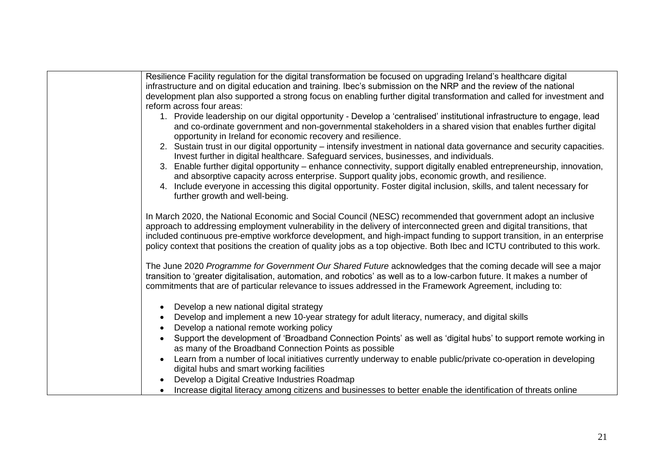| Resilience Facility regulation for the digital transformation be focused on upgrading Ireland's healthcare digital                                                                                                                                                                                                                                                             |
|--------------------------------------------------------------------------------------------------------------------------------------------------------------------------------------------------------------------------------------------------------------------------------------------------------------------------------------------------------------------------------|
| infrastructure and on digital education and training. Ibec's submission on the NRP and the review of the national                                                                                                                                                                                                                                                              |
| development plan also supported a strong focus on enabling further digital transformation and called for investment and                                                                                                                                                                                                                                                        |
| reform across four areas:                                                                                                                                                                                                                                                                                                                                                      |
| 1. Provide leadership on our digital opportunity - Develop a 'centralised' institutional infrastructure to engage, lead<br>and co-ordinate government and non-governmental stakeholders in a shared vision that enables further digital<br>opportunity in Ireland for economic recovery and resilience.                                                                        |
| 2. Sustain trust in our digital opportunity - intensify investment in national data governance and security capacities.<br>Invest further in digital healthcare. Safeguard services, businesses, and individuals.                                                                                                                                                              |
| 3. Enable further digital opportunity – enhance connectivity, support digitally enabled entrepreneurship, innovation,<br>and absorptive capacity across enterprise. Support quality jobs, economic growth, and resilience.                                                                                                                                                     |
| 4. Include everyone in accessing this digital opportunity. Foster digital inclusion, skills, and talent necessary for<br>further growth and well-being.                                                                                                                                                                                                                        |
| In March 2020, the National Economic and Social Council (NESC) recommended that government adopt an inclusive                                                                                                                                                                                                                                                                  |
| approach to addressing employment vulnerability in the delivery of interconnected green and digital transitions, that<br>included continuous pre-emptive workforce development, and high-impact funding to support transition, in an enterprise<br>policy context that positions the creation of quality jobs as a top objective. Both Ibec and ICTU contributed to this work. |
| The June 2020 Programme for Government Our Shared Future acknowledges that the coming decade will see a major<br>transition to 'greater digitalisation, automation, and robotics' as well as to a low-carbon future. It makes a number of<br>commitments that are of particular relevance to issues addressed in the Framework Agreement, including to:                        |
| Develop a new national digital strategy                                                                                                                                                                                                                                                                                                                                        |
| Develop and implement a new 10-year strategy for adult literacy, numeracy, and digital skills                                                                                                                                                                                                                                                                                  |
| Develop a national remote working policy                                                                                                                                                                                                                                                                                                                                       |
| Support the development of 'Broadband Connection Points' as well as 'digital hubs' to support remote working in                                                                                                                                                                                                                                                                |
| as many of the Broadband Connection Points as possible                                                                                                                                                                                                                                                                                                                         |
| Learn from a number of local initiatives currently underway to enable public/private co-operation in developing<br>$\bullet$                                                                                                                                                                                                                                                   |
| digital hubs and smart working facilities                                                                                                                                                                                                                                                                                                                                      |
| Develop a Digital Creative Industries Roadmap                                                                                                                                                                                                                                                                                                                                  |
| Increase digital literacy among citizens and businesses to better enable the identification of threats online                                                                                                                                                                                                                                                                  |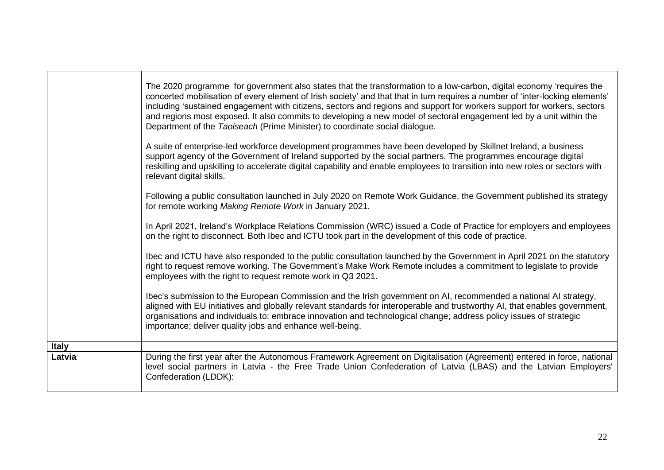|              | The 2020 programme for government also states that the transformation to a low-carbon, digital economy 'requires the<br>concerted mobilisation of every element of Irish society' and that that in turn requires a number of 'inter-locking elements'<br>including 'sustained engagement with citizens, sectors and regions and support for workers support for workers, sectors<br>and regions most exposed. It also commits to developing a new model of sectoral engagement led by a unit within the<br>Department of the Taoiseach (Prime Minister) to coordinate social dialogue. |
|--------------|----------------------------------------------------------------------------------------------------------------------------------------------------------------------------------------------------------------------------------------------------------------------------------------------------------------------------------------------------------------------------------------------------------------------------------------------------------------------------------------------------------------------------------------------------------------------------------------|
|              | A suite of enterprise-led workforce development programmes have been developed by Skillnet Ireland, a business<br>support agency of the Government of Ireland supported by the social partners. The programmes encourage digital<br>reskilling and upskilling to accelerate digital capability and enable employees to transition into new roles or sectors with<br>relevant digital skills.                                                                                                                                                                                           |
|              | Following a public consultation launched in July 2020 on Remote Work Guidance, the Government published its strategy<br>for remote working Making Remote Work in January 2021.                                                                                                                                                                                                                                                                                                                                                                                                         |
|              | In April 2021, Ireland's Workplace Relations Commission (WRC) issued a Code of Practice for employers and employees<br>on the right to disconnect. Both Ibec and ICTU took part in the development of this code of practice.                                                                                                                                                                                                                                                                                                                                                           |
|              | Ibec and ICTU have also responded to the public consultation launched by the Government in April 2021 on the statutory<br>right to request remove working. The Government's Make Work Remote includes a commitment to legislate to provide<br>employees with the right to request remote work in Q3 2021.                                                                                                                                                                                                                                                                              |
|              | Ibec's submission to the European Commission and the Irish government on AI, recommended a national AI strategy,<br>aligned with EU initiatives and globally relevant standards for interoperable and trustworthy AI, that enables government,<br>organisations and individuals to: embrace innovation and technological change; address policy issues of strategic<br>importance; deliver quality jobs and enhance well-being.                                                                                                                                                        |
| <b>Italy</b> |                                                                                                                                                                                                                                                                                                                                                                                                                                                                                                                                                                                        |
| Latvia       | During the first year after the Autonomous Framework Agreement on Digitalisation (Agreement) entered in force, national<br>level social partners in Latvia - the Free Trade Union Confederation of Latvia (LBAS) and the Latvian Employers'<br>Confederation (LDDK):                                                                                                                                                                                                                                                                                                                   |
|              |                                                                                                                                                                                                                                                                                                                                                                                                                                                                                                                                                                                        |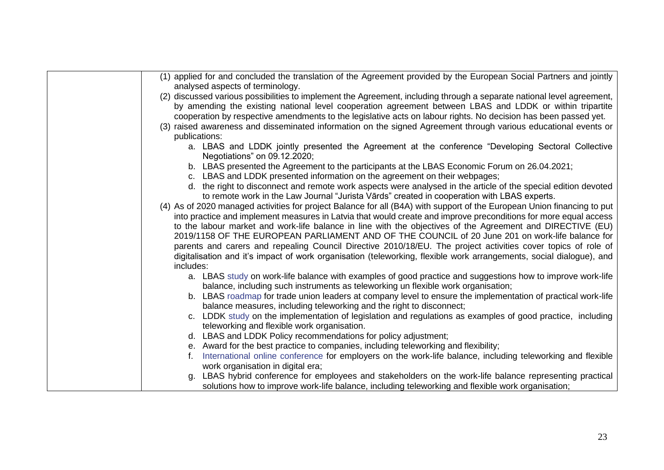| (1) applied for and concluded the translation of the Agreement provided by the European Social Partners and jointly<br>analysed aspects of terminology.                                                                            |
|------------------------------------------------------------------------------------------------------------------------------------------------------------------------------------------------------------------------------------|
| (2) discussed various possibilities to implement the Agreement, including through a separate national level agreement,<br>by amending the existing national level cooperation agreement between LBAS and LDDK or within tripartite |
| cooperation by respective amendments to the legislative acts on labour rights. No decision has been passed yet.                                                                                                                    |
| (3) raised awareness and disseminated information on the signed Agreement through various educational events or                                                                                                                    |
| publications:                                                                                                                                                                                                                      |
| a. LBAS and LDDK jointly presented the Agreement at the conference "Developing Sectoral Collective<br>Negotiations" on 09.12.2020;                                                                                                 |
| b. LBAS presented the Agreement to the participants at the LBAS Economic Forum on 26.04.2021;                                                                                                                                      |
| c. LBAS and LDDK presented information on the agreement on their webpages;                                                                                                                                                         |
| d. the right to disconnect and remote work aspects were analysed in the article of the special edition devoted                                                                                                                     |
| to remote work in the Law Journal "Jurista Vārds" created in cooperation with LBAS experts.                                                                                                                                        |
| (4) As of 2020 managed activities for project Balance for all (B4A) with support of the European Union financing to put                                                                                                            |
| into practice and implement measures in Latvia that would create and improve preconditions for more equal access                                                                                                                   |
| to the labour market and work-life balance in line with the objectives of the Agreement and DIRECTIVE (EU)                                                                                                                         |
| 2019/1158 OF THE EUROPEAN PARLIAMENT AND OF THE COUNCIL of 20 June 201 on work-life balance for                                                                                                                                    |
| parents and carers and repealing Council Directive 2010/18/EU. The project activities cover topics of role of                                                                                                                      |
| digitalisation and it's impact of work organisation (teleworking, flexible work arrangements, social dialogue), and                                                                                                                |
| includes:                                                                                                                                                                                                                          |
|                                                                                                                                                                                                                                    |
| a. LBAS study on work-life balance with examples of good practice and suggestions how to improve work-life<br>balance, including such instruments as teleworking un flexible work organisation;                                    |
| b. LBAS roadmap for trade union leaders at company level to ensure the implementation of practical work-life                                                                                                                       |
| balance measures, including teleworking and the right to disconnect;                                                                                                                                                               |
| c. LDDK study on the implementation of legislation and regulations as examples of good practice, including                                                                                                                         |
| teleworking and flexible work organisation.                                                                                                                                                                                        |
| d. LBAS and LDDK Policy recommendations for policy adjustment;                                                                                                                                                                     |
| e. Award for the best practice to companies, including teleworking and flexibility;                                                                                                                                                |
| International online conference for employers on the work-life balance, including teleworking and flexible                                                                                                                         |
| work organisation in digital era;                                                                                                                                                                                                  |
| LBAS hybrid conference for employees and stakeholders on the work-life balance representing practical<br>a.                                                                                                                        |
| solutions how to improve work-life balance, including teleworking and flexible work organisation;                                                                                                                                  |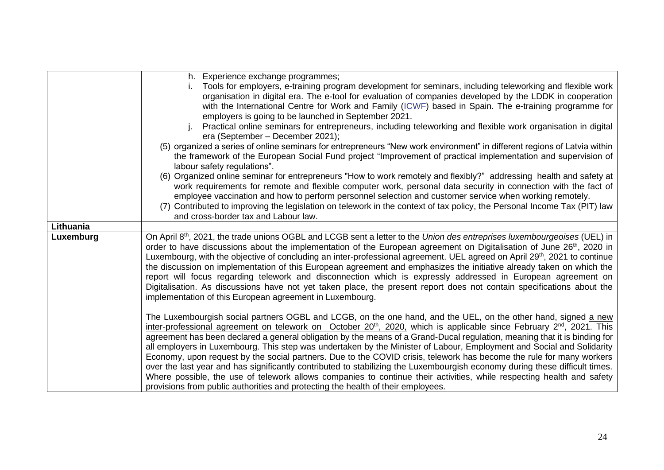|           | h. Experience exchange programmes;<br>Tools for employers, e-training program development for seminars, including teleworking and flexible work<br>organisation in digital era. The e-tool for evaluation of companies developed by the LDDK in cooperation<br>with the International Centre for Work and Family (ICWF) based in Spain. The e-training programme for<br>employers is going to be launched in September 2021.<br>Practical online seminars for entrepreneurs, including teleworking and flexible work organisation in digital<br>era (September – December 2021);<br>(5) organized a series of online seminars for entrepreneurs "New work environment" in different regions of Latvia within<br>the framework of the European Social Fund project "Improvement of practical implementation and supervision of<br>labour safety regulations".<br>(6) Organized online seminar for entrepreneurs "How to work remotely and flexibly?" addressing health and safety at<br>work requirements for remote and flexible computer work, personal data security in connection with the fact of<br>employee vaccination and how to perform personnel selection and customer service when working remotely.<br>Contributed to improving the legislation on telework in the context of tax policy, the Personal Income Tax (PIT) law<br>(7)<br>and cross-border tax and Labour law. |
|-----------|-----------------------------------------------------------------------------------------------------------------------------------------------------------------------------------------------------------------------------------------------------------------------------------------------------------------------------------------------------------------------------------------------------------------------------------------------------------------------------------------------------------------------------------------------------------------------------------------------------------------------------------------------------------------------------------------------------------------------------------------------------------------------------------------------------------------------------------------------------------------------------------------------------------------------------------------------------------------------------------------------------------------------------------------------------------------------------------------------------------------------------------------------------------------------------------------------------------------------------------------------------------------------------------------------------------------------------------------------------------------------------------------|
| Lithuania |                                                                                                                                                                                                                                                                                                                                                                                                                                                                                                                                                                                                                                                                                                                                                                                                                                                                                                                                                                                                                                                                                                                                                                                                                                                                                                                                                                                         |
| Luxemburg | On April 8 <sup>th</sup> , 2021, the trade unions OGBL and LCGB sent a letter to the Union des entreprises luxembourgeoises (UEL) in<br>order to have discussions about the implementation of the European agreement on Digitalisation of June 26 <sup>th</sup> , 2020 in<br>Luxembourg, with the objective of concluding an inter-professional agreement. UEL agreed on April 29 <sup>th</sup> , 2021 to continue<br>the discussion on implementation of this European agreement and emphasizes the initiative already taken on which the<br>report will focus regarding telework and disconnection which is expressly addressed in European agreement on<br>Digitalisation. As discussions have not yet taken place, the present report does not contain specifications about the<br>implementation of this European agreement in Luxembourg.                                                                                                                                                                                                                                                                                                                                                                                                                                                                                                                                         |
|           | The Luxembourgish social partners OGBL and LCGB, on the one hand, and the UEL, on the other hand, signed a new<br>inter-professional agreement on telework on October 20 <sup>th</sup> , 2020, which is applicable since February 2 <sup>nd</sup> , 2021. This<br>agreement has been declared a general obligation by the means of a Grand-Ducal regulation, meaning that it is binding for<br>all employers in Luxembourg. This step was undertaken by the Minister of Labour, Employment and Social and Solidarity<br>Economy, upon request by the social partners. Due to the COVID crisis, telework has become the rule for many workers<br>over the last year and has significantly contributed to stabilizing the Luxembourgish economy during these difficult times.<br>Where possible, the use of telework allows companies to continue their activities, while respecting health and safety<br>provisions from public authorities and protecting the health of their employees.                                                                                                                                                                                                                                                                                                                                                                                                |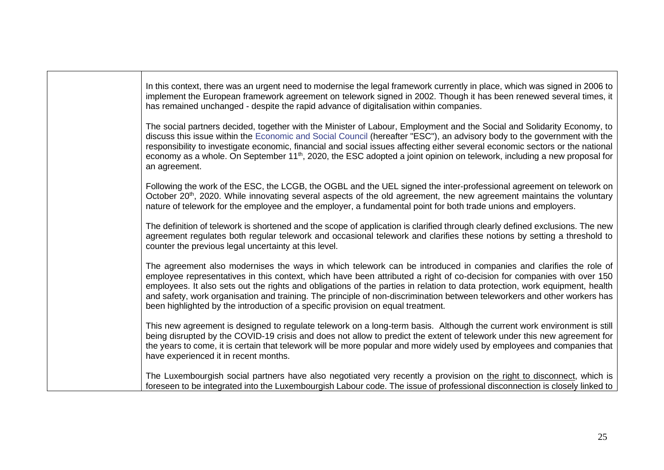| In this context, there was an urgent need to modernise the legal framework currently in place, which was signed in 2006 to<br>implement the European framework agreement on telework signed in 2002. Though it has been renewed several times, it<br>has remained unchanged - despite the rapid advance of digitalisation within companies.                                                                                                                                                                                                                                                   |
|-----------------------------------------------------------------------------------------------------------------------------------------------------------------------------------------------------------------------------------------------------------------------------------------------------------------------------------------------------------------------------------------------------------------------------------------------------------------------------------------------------------------------------------------------------------------------------------------------|
| The social partners decided, together with the Minister of Labour, Employment and the Social and Solidarity Economy, to<br>discuss this issue within the Economic and Social Council (hereafter "ESC"), an advisory body to the government with the<br>responsibility to investigate economic, financial and social issues affecting either several economic sectors or the national<br>economy as a whole. On September 11 <sup>th</sup> , 2020, the ESC adopted a joint opinion on telework, including a new proposal for<br>an agreement.                                                  |
| Following the work of the ESC, the LCGB, the OGBL and the UEL signed the inter-professional agreement on telework on<br>October 20 <sup>th</sup> , 2020. While innovating several aspects of the old agreement, the new agreement maintains the voluntary<br>nature of telework for the employee and the employer, a fundamental point for both trade unions and employers.                                                                                                                                                                                                                   |
| The definition of telework is shortened and the scope of application is clarified through clearly defined exclusions. The new<br>agreement regulates both regular telework and occasional telework and clarifies these notions by setting a threshold to<br>counter the previous legal uncertainty at this level.                                                                                                                                                                                                                                                                             |
| The agreement also modernises the ways in which telework can be introduced in companies and clarifies the role of<br>employee representatives in this context, which have been attributed a right of co-decision for companies with over 150<br>employees. It also sets out the rights and obligations of the parties in relation to data protection, work equipment, health<br>and safety, work organisation and training. The principle of non-discrimination between teleworkers and other workers has<br>been highlighted by the introduction of a specific provision on equal treatment. |
| This new agreement is designed to regulate telework on a long-term basis. Although the current work environment is still<br>being disrupted by the COVID-19 crisis and does not allow to predict the extent of telework under this new agreement for<br>the years to come, it is certain that telework will be more popular and more widely used by employees and companies that<br>have experienced it in recent months.                                                                                                                                                                     |
| The Luxembourgish social partners have also negotiated very recently a provision on the right to disconnect, which is<br>foreseen to be integrated into the Luxembourgish Labour code. The issue of professional disconnection is closely linked to                                                                                                                                                                                                                                                                                                                                           |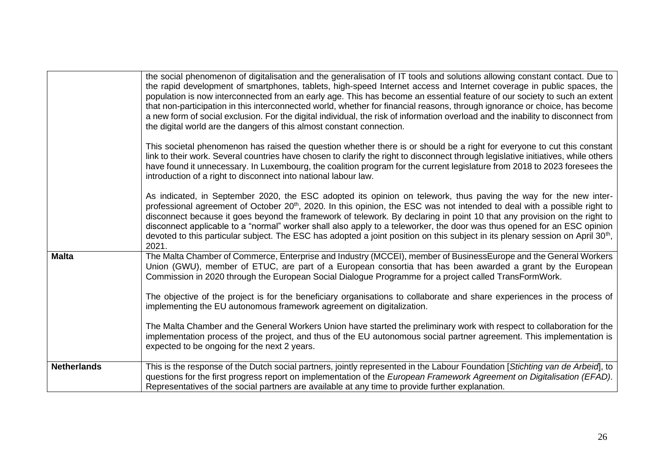|                    | the social phenomenon of digitalisation and the generalisation of IT tools and solutions allowing constant contact. Due to<br>the rapid development of smartphones, tablets, high-speed Internet access and Internet coverage in public spaces, the<br>population is now interconnected from an early age. This has become an essential feature of our society to such an extent<br>that non-participation in this interconnected world, whether for financial reasons, through ignorance or choice, has become<br>a new form of social exclusion. For the digital individual, the risk of information overload and the inability to disconnect from<br>the digital world are the dangers of this almost constant connection. |
|--------------------|-------------------------------------------------------------------------------------------------------------------------------------------------------------------------------------------------------------------------------------------------------------------------------------------------------------------------------------------------------------------------------------------------------------------------------------------------------------------------------------------------------------------------------------------------------------------------------------------------------------------------------------------------------------------------------------------------------------------------------|
|                    | This societal phenomenon has raised the question whether there is or should be a right for everyone to cut this constant<br>link to their work. Several countries have chosen to clarify the right to disconnect through legislative initiatives, while others<br>have found it unnecessary. In Luxembourg, the coalition program for the current legislature from 2018 to 2023 foresees the<br>introduction of a right to disconnect into national labour law.                                                                                                                                                                                                                                                               |
|                    | As indicated, in September 2020, the ESC adopted its opinion on telework, thus paving the way for the new inter-<br>professional agreement of October 20 <sup>th</sup> , 2020. In this opinion, the ESC was not intended to deal with a possible right to<br>disconnect because it goes beyond the framework of telework. By declaring in point 10 that any provision on the right to<br>disconnect applicable to a "normal" worker shall also apply to a teleworker, the door was thus opened for an ESC opinion<br>devoted to this particular subject. The ESC has adopted a joint position on this subject in its plenary session on April 30 <sup>th</sup> ,<br>2021.                                                     |
| <b>Malta</b>       | The Malta Chamber of Commerce, Enterprise and Industry (MCCEI), member of BusinessEurope and the General Workers<br>Union (GWU), member of ETUC, are part of a European consortia that has been awarded a grant by the European<br>Commission in 2020 through the European Social Dialogue Programme for a project called TransFormWork.                                                                                                                                                                                                                                                                                                                                                                                      |
|                    | The objective of the project is for the beneficiary organisations to collaborate and share experiences in the process of<br>implementing the EU autonomous framework agreement on digitalization.                                                                                                                                                                                                                                                                                                                                                                                                                                                                                                                             |
|                    | The Malta Chamber and the General Workers Union have started the preliminary work with respect to collaboration for the<br>implementation process of the project, and thus of the EU autonomous social partner agreement. This implementation is<br>expected to be ongoing for the next 2 years.                                                                                                                                                                                                                                                                                                                                                                                                                              |
| <b>Netherlands</b> | This is the response of the Dutch social partners, jointly represented in the Labour Foundation [Stichting van de Arbeid], to<br>questions for the first progress report on implementation of the European Framework Agreement on Digitalisation (EFAD).<br>Representatives of the social partners are available at any time to provide further explanation.                                                                                                                                                                                                                                                                                                                                                                  |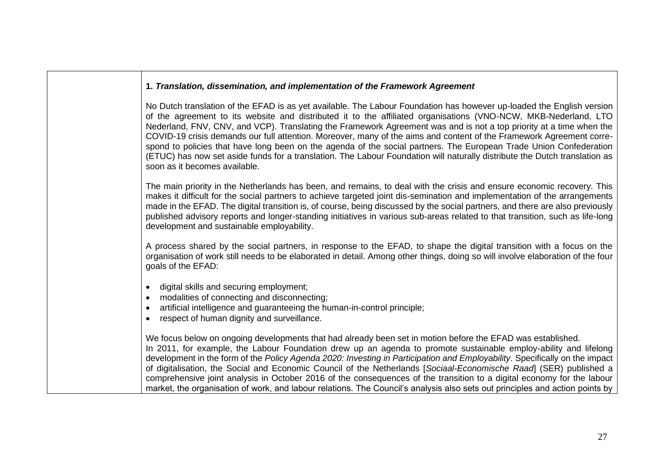| 1. Translation, dissemination, and implementation of the Framework Agreement                                                                                                                                                                                                                                                                                                                                                                                                                                                                                                                                                                                                                                                                                                 |
|------------------------------------------------------------------------------------------------------------------------------------------------------------------------------------------------------------------------------------------------------------------------------------------------------------------------------------------------------------------------------------------------------------------------------------------------------------------------------------------------------------------------------------------------------------------------------------------------------------------------------------------------------------------------------------------------------------------------------------------------------------------------------|
| No Dutch translation of the EFAD is as yet available. The Labour Foundation has however up-loaded the English version<br>of the agreement to its website and distributed it to the affiliated organisations (VNO-NCW, MKB-Nederland, LTO<br>Nederland, FNV, CNV, and VCP). Translating the Framework Agreement was and is not a top priority at a time when the<br>COVID-19 crisis demands our full attention. Moreover, many of the aims and content of the Framework Agreement corre-<br>spond to policies that have long been on the agenda of the social partners. The European Trade Union Confederation<br>(ETUC) has now set aside funds for a translation. The Labour Foundation will naturally distribute the Dutch translation as<br>soon as it becomes available. |
| The main priority in the Netherlands has been, and remains, to deal with the crisis and ensure economic recovery. This<br>makes it difficult for the social partners to achieve targeted joint dis-semination and implementation of the arrangements<br>made in the EFAD. The digital transition is, of course, being discussed by the social partners, and there are also previously<br>published advisory reports and longer-standing initiatives in various sub-areas related to that transition, such as life-long<br>development and sustainable employability.                                                                                                                                                                                                         |
| A process shared by the social partners, in response to the EFAD, to shape the digital transition with a focus on the<br>organisation of work still needs to be elaborated in detail. Among other things, doing so will involve elaboration of the four<br>goals of the EFAD:                                                                                                                                                                                                                                                                                                                                                                                                                                                                                                |
| digital skills and securing employment;<br>$\bullet$<br>modalities of connecting and disconnecting;<br>artificial intelligence and guaranteeing the human-in-control principle;<br>$\bullet$<br>respect of human dignity and surveillance.                                                                                                                                                                                                                                                                                                                                                                                                                                                                                                                                   |
| We focus below on ongoing developments that had already been set in motion before the EFAD was established.<br>In 2011, for example, the Labour Foundation drew up an agenda to promote sustainable employ-ability and lifelong<br>development in the form of the Policy Agenda 2020: Investing in Participation and Employability. Specifically on the impact<br>of digitalisation, the Social and Economic Council of the Netherlands [Sociaal-Economische Raad] (SER) published a<br>comprehensive joint analysis in October 2016 of the consequences of the transition to a digital economy for the labour<br>market, the organisation of work, and labour relations. The Council's analysis also sets out principles and action points by                               |

┑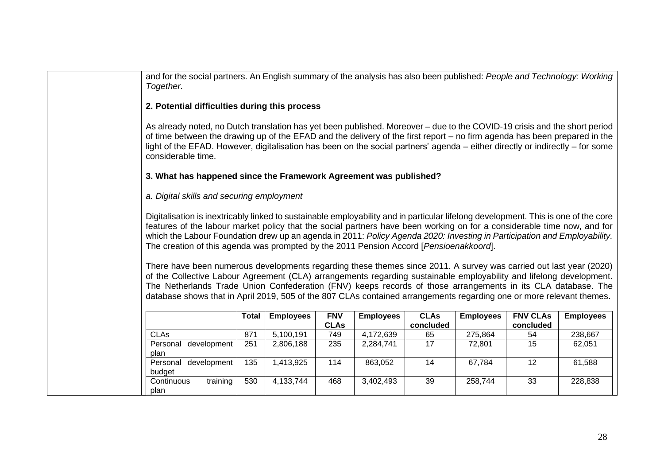and for the social partners. An English summary of the analysis has also been published: *People and Technology: Working Together*. **2. Potential difficulties during this process**  As already noted, no Dutch translation has yet been published. Moreover – due to the COVID-19 crisis and the short period of time between the drawing up of the EFAD and the delivery of the first report – no firm agenda has been prepared in the light of the EFAD. However, digitalisation has been on the social partners' agenda – either directly or indirectly – for some considerable time. **3. What has happened since the Framework Agreement was published?**  *a. Digital skills and securing employment*  Digitalisation is inextricably linked to sustainable employability and in particular lifelong development. This is one of the core features of the labour market policy that the social partners have been working on for a considerable time now, and for which the Labour Foundation drew up an agenda in 2011: *Policy Agenda 2020: Investing in Participation and Employability.*  The creation of this agenda was prompted by the 2011 Pension Accord [*Pensioenakkoord*]. There have been numerous developments regarding these themes since 2011. A survey was carried out last year (2020) of the Collective Labour Agreement (CLA) arrangements regarding sustainable employability and lifelong development. The Netherlands Trade Union Confederation (FNV) keeps records of those arrangements in its CLA database. The database shows that in April 2019, 505 of the 807 CLAs contained arrangements regarding one or more relevant themes. **Total Employees FNV CLAs Employees CLAs concluded Employees FNV CLAs concluded Employees** CLAs | 871 | 5,100,191 | 749 | 4,172,639 | 65 | 275,864 | 54 | 238,667 Personal development plan 251 2,806,188 235 2,284,741 17 72,801 15 62,051 Personal development budget 135 1,413,925 114 863,052 14 67,784 12 61,588 Continuous training plan 530 4,133,744 468 3,402,493 39 258,744 33 228,838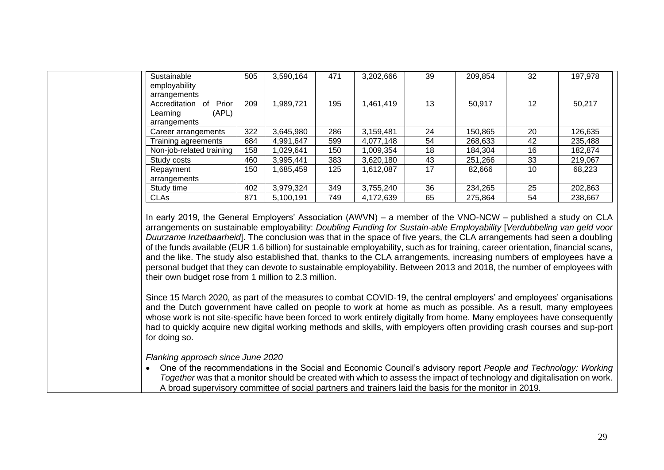| employability                |     |           | 471 | 3,202,666 | 39 | 209,854 | 32 | 197,978 |
|------------------------------|-----|-----------|-----|-----------|----|---------|----|---------|
|                              |     |           |     |           |    |         |    |         |
| arrangements                 |     |           |     |           |    |         |    |         |
| Prior<br>Accreditation<br>0f | 209 | 1,989,721 | 195 | 1,461,419 | 13 | 50,917  | 12 | 50,217  |
| (APL)<br>Learning            |     |           |     |           |    |         |    |         |
| arrangements                 |     |           |     |           |    |         |    |         |
| Career arrangements          | 322 | 3,645,980 | 286 | 3,159,481 | 24 | 150,865 | 20 | 126,635 |
| Training agreements          | 684 | 4,991,647 | 599 | 4,077,148 | 54 | 268,633 | 42 | 235,488 |
| Non-job-related training     | 158 | 1,029,641 | 150 | ,009,354  | 18 | 184,304 | 16 | 182,874 |
| Study costs                  | 460 | 3,995,441 | 383 | 3,620,180 | 43 | 251,266 | 33 | 219,067 |
| Repayment                    | 150 | 1,685,459 | 125 | 1,612,087 | 17 | 82,666  | 10 | 68,223  |
| arrangements                 |     |           |     |           |    |         |    |         |
| Study time                   | 402 | 3,979,324 | 349 | 3,755,240 | 36 | 234,265 | 25 | 202,863 |
| <b>CLAs</b>                  | 871 | 5,100,191 | 749 | 4,172,639 | 65 | 275,864 | 54 | 238,667 |
|                              |     |           |     |           |    |         |    |         |

In early 2019, the General Employers' Association (AWVN) – a member of the VNO-NCW – published a study on CLA arrangements on sustainable employability: *Doubling Funding for Sustain-able Employability* [*Verdubbeling van geld voor Duurzame Inzetbaarheid*]. The conclusion was that in the space of five years, the CLA arrangements had seen a doubling of the funds available (EUR 1.6 billion) for sustainable employability, such as for training, career orientation, financial scans, and the like. The study also established that, thanks to the CLA arrangements, increasing numbers of employees have a personal budget that they can devote to sustainable employability. Between 2013 and 2018, the number of employees with their own budget rose from 1 million to 2.3 million.

Since 15 March 2020, as part of the measures to combat COVID-19, the central employers' and employees' organisations and the Dutch government have called on people to work at home as much as possible. As a result, many employees whose work is not site-specific have been forced to work entirely digitally from home. Many employees have consequently had to quickly acquire new digital working methods and skills, with employers often providing crash courses and sup-port for doing so.

*Flanking approach since June 2020* 

• One of the recommendations in the Social and Economic Council's advisory report *People and Technology: Working Together* was that a monitor should be created with which to assess the impact of technology and digitalisation on work. A broad supervisory committee of social partners and trainers laid the basis for the monitor in 2019.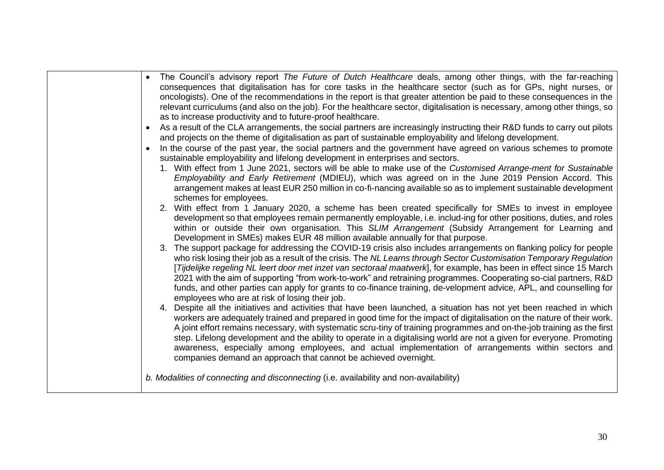| The Council's advisory report The Future of Dutch Healthcare deals, among other things, with the far-reaching<br>$\bullet$<br>consequences that digitalisation has for core tasks in the healthcare sector (such as for GPs, night nurses, or<br>oncologists). One of the recommendations in the report is that greater attention be paid to these consequences in the<br>relevant curriculums (and also on the job). For the healthcare sector, digitalisation is necessary, among other things, so<br>as to increase productivity and to future-proof healthcare.<br>As a result of the CLA arrangements, the social partners are increasingly instructing their R&D funds to carry out pilots<br>$\bullet$<br>and projects on the theme of digitalisation as part of sustainable employability and lifelong development.<br>In the course of the past year, the social partners and the government have agreed on various schemes to promote<br>$\bullet$<br>sustainable employability and lifelong development in enterprises and sectors.<br>1. With effect from 1 June 2021, sectors will be able to make use of the Customised Arrange-ment for Sustainable<br>Employability and Early Retirement (MDIEU), which was agreed on in the June 2019 Pension Accord. This<br>arrangement makes at least EUR 250 million in co-fi-nancing available so as to implement sustainable development<br>schemes for employees.<br>2. With effect from 1 January 2020, a scheme has been created specifically for SMEs to invest in employee<br>development so that employees remain permanently employable, i.e. includ-ing for other positions, duties, and roles<br>within or outside their own organisation. This SLIM Arrangement (Subsidy Arrangement for Learning and<br>Development in SMEs) makes EUR 48 million available annually for that purpose.<br>3. The support package for addressing the COVID-19 crisis also includes arrangements on flanking policy for people<br>who risk losing their job as a result of the crisis. The NL Learns through Sector Customisation Temporary Regulation<br>[Tijdelijke regeling NL leert door met inzet van sectoraal maatwerk], for example, has been in effect since 15 March<br>2021 with the aim of supporting "from work-to-work" and retraining programmes. Cooperating so-cial partners, R&D<br>funds, and other parties can apply for grants to co-finance training, de-velopment advice, APL, and counselling for<br>employees who are at risk of losing their job.<br>4. Despite all the initiatives and activities that have been launched, a situation has not yet been reached in which<br>workers are adequately trained and prepared in good time for the impact of digitalisation on the nature of their work.<br>A joint effort remains necessary, with systematic scru-tiny of training programmes and on-the-job training as the first |
|----------------------------------------------------------------------------------------------------------------------------------------------------------------------------------------------------------------------------------------------------------------------------------------------------------------------------------------------------------------------------------------------------------------------------------------------------------------------------------------------------------------------------------------------------------------------------------------------------------------------------------------------------------------------------------------------------------------------------------------------------------------------------------------------------------------------------------------------------------------------------------------------------------------------------------------------------------------------------------------------------------------------------------------------------------------------------------------------------------------------------------------------------------------------------------------------------------------------------------------------------------------------------------------------------------------------------------------------------------------------------------------------------------------------------------------------------------------------------------------------------------------------------------------------------------------------------------------------------------------------------------------------------------------------------------------------------------------------------------------------------------------------------------------------------------------------------------------------------------------------------------------------------------------------------------------------------------------------------------------------------------------------------------------------------------------------------------------------------------------------------------------------------------------------------------------------------------------------------------------------------------------------------------------------------------------------------------------------------------------------------------------------------------------------------------------------------------------------------------------------------------------------------------------------------------------------------------------------------------------------------------------------------------------------------------------------------------------------------------------------------------------------------------------------------------------------------------------------------------------------------------------------------------|
| step. Lifelong development and the ability to operate in a digitalising world are not a given for everyone. Promoting<br>awareness, especially among employees, and actual implementation of arrangements within sectors and<br>companies demand an approach that cannot be achieved overnight.                                                                                                                                                                                                                                                                                                                                                                                                                                                                                                                                                                                                                                                                                                                                                                                                                                                                                                                                                                                                                                                                                                                                                                                                                                                                                                                                                                                                                                                                                                                                                                                                                                                                                                                                                                                                                                                                                                                                                                                                                                                                                                                                                                                                                                                                                                                                                                                                                                                                                                                                                                                                          |
| b. Modalities of connecting and disconnecting (i.e. availability and non-availability)                                                                                                                                                                                                                                                                                                                                                                                                                                                                                                                                                                                                                                                                                                                                                                                                                                                                                                                                                                                                                                                                                                                                                                                                                                                                                                                                                                                                                                                                                                                                                                                                                                                                                                                                                                                                                                                                                                                                                                                                                                                                                                                                                                                                                                                                                                                                                                                                                                                                                                                                                                                                                                                                                                                                                                                                                   |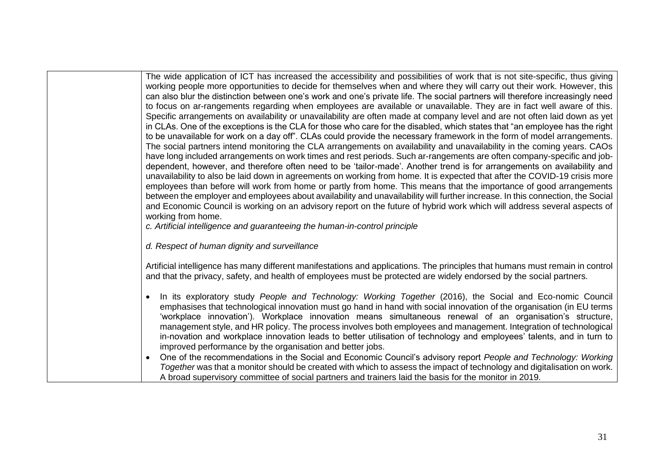The wide application of ICT has increased the accessibility and possibilities of work that is not site-specific, thus giving working people more opportunities to decide for themselves when and where they will carry out their work. However, this can also blur the distinction between one's work and one's private life. The social partners will therefore increasingly need to focus on ar-rangements regarding when employees are available or unavailable. They are in fact well aware of this. Specific arrangements on availability or unavailability are often made at company level and are not often laid down as yet in CLAs. One of the exceptions is the CLA for those who care for the disabled, which states that "an employee has the right to be unavailable for work on a day off". CLAs could provide the necessary framework in the form of model arrangements. The social partners intend monitoring the CLA arrangements on availability and unavailability in the coming years. CAOs have long included arrangements on work times and rest periods. Such ar-rangements are often company-specific and jobdependent, however, and therefore often need to be 'tailor-made'. Another trend is for arrangements on availability and unavailability to also be laid down in agreements on working from home. It is expected that after the COVID-19 crisis more employees than before will work from home or partly from home. This means that the importance of good arrangements between the employer and employees about availability and unavailability will further increase. In this connection, the Social and Economic Council is working on an advisory report on the future of hybrid work which will address several aspects of working from home.

*c. Artificial intelligence and guaranteeing the human-in-control principle* 

*d. Respect of human dignity and surveillance*

Artificial intelligence has many different manifestations and applications. The principles that humans must remain in control and that the privacy, safety, and health of employees must be protected are widely endorsed by the social partners.

- In its exploratory study *People and Technology: Working Together* (2016), the Social and Eco-nomic Council emphasises that technological innovation must go hand in hand with social innovation of the organisation (in EU terms 'workplace innovation'). Workplace innovation means simultaneous renewal of an organisation's structure, management style, and HR policy. The process involves both employees and management. Integration of technological in-novation and workplace innovation leads to better utilisation of technology and employees' talents, and in turn to improved performance by the organisation and better jobs.
- One of the recommendations in the Social and Economic Council's advisory report *People and Technology: Working Together* was that a monitor should be created with which to assess the impact of technology and digitalisation on work. A broad supervisory committee of social partners and trainers laid the basis for the monitor in 2019.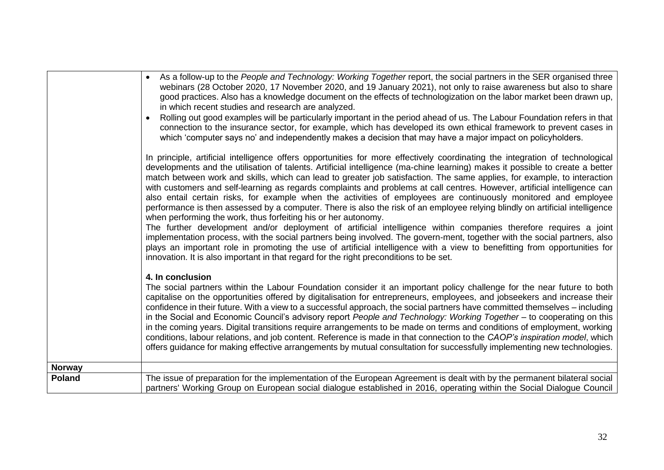|               | As a follow-up to the People and Technology: Working Together report, the social partners in the SER organised three<br>webinars (28 October 2020, 17 November 2020, and 19 January 2021), not only to raise awareness but also to share<br>good practices. Also has a knowledge document on the effects of technologization on the labor market been drawn up,<br>in which recent studies and research are analyzed.                                                                                                                                                                                                                                                                                                                                                                                                                                                                                                                                                                                                                                                                                                                                                                                                                                                                                                |
|---------------|----------------------------------------------------------------------------------------------------------------------------------------------------------------------------------------------------------------------------------------------------------------------------------------------------------------------------------------------------------------------------------------------------------------------------------------------------------------------------------------------------------------------------------------------------------------------------------------------------------------------------------------------------------------------------------------------------------------------------------------------------------------------------------------------------------------------------------------------------------------------------------------------------------------------------------------------------------------------------------------------------------------------------------------------------------------------------------------------------------------------------------------------------------------------------------------------------------------------------------------------------------------------------------------------------------------------|
|               | Rolling out good examples will be particularly important in the period ahead of us. The Labour Foundation refers in that<br>connection to the insurance sector, for example, which has developed its own ethical framework to prevent cases in<br>which 'computer says no' and independently makes a decision that may have a major impact on policyholders.                                                                                                                                                                                                                                                                                                                                                                                                                                                                                                                                                                                                                                                                                                                                                                                                                                                                                                                                                         |
|               | In principle, artificial intelligence offers opportunities for more effectively coordinating the integration of technological<br>developments and the utilisation of talents. Artificial intelligence (ma-chine learning) makes it possible to create a better<br>match between work and skills, which can lead to greater job satisfaction. The same applies, for example, to interaction<br>with customers and self-learning as regards complaints and problems at call centres. However, artificial intelligence can<br>also entail certain risks, for example when the activities of employees are continuously monitored and employee<br>performance is then assessed by a computer. There is also the risk of an employee relying blindly on artificial intelligence<br>when performing the work, thus forfeiting his or her autonomy.<br>The further development and/or deployment of artificial intelligence within companies therefore requires a joint<br>implementation process, with the social partners being involved. The govern-ment, together with the social partners, also<br>plays an important role in promoting the use of artificial intelligence with a view to benefitting from opportunities for<br>innovation. It is also important in that regard for the right preconditions to be set. |
|               | 4. In conclusion<br>The social partners within the Labour Foundation consider it an important policy challenge for the near future to both<br>capitalise on the opportunities offered by digitalisation for entrepreneurs, employees, and jobseekers and increase their<br>confidence in their future. With a view to a successful approach, the social partners have committed themselves - including<br>in the Social and Economic Council's advisory report People and Technology: Working Together - to cooperating on this<br>in the coming years. Digital transitions require arrangements to be made on terms and conditions of employment, working<br>conditions, labour relations, and job content. Reference is made in that connection to the CAOP's inspiration model, which<br>offers guidance for making effective arrangements by mutual consultation for successfully implementing new technologies.                                                                                                                                                                                                                                                                                                                                                                                                 |
| <b>Norway</b> |                                                                                                                                                                                                                                                                                                                                                                                                                                                                                                                                                                                                                                                                                                                                                                                                                                                                                                                                                                                                                                                                                                                                                                                                                                                                                                                      |
| <b>Poland</b> | The issue of preparation for the implementation of the European Agreement is dealt with by the permanent bilateral social<br>partners' Working Group on European social dialogue established in 2016, operating within the Social Dialogue Council                                                                                                                                                                                                                                                                                                                                                                                                                                                                                                                                                                                                                                                                                                                                                                                                                                                                                                                                                                                                                                                                   |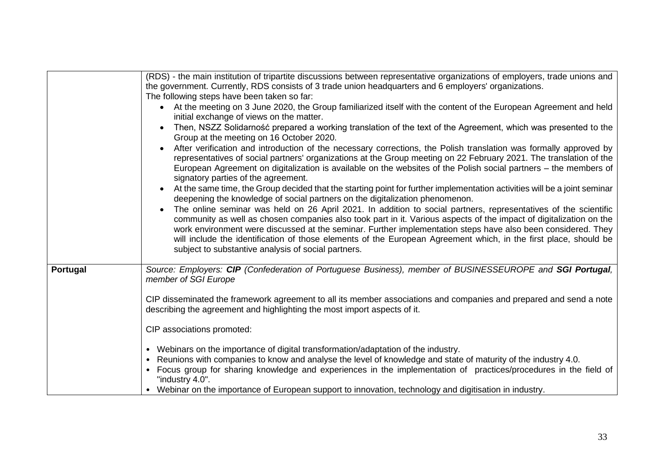|          | (RDS) - the main institution of tripartite discussions between representative organizations of employers, trade unions and<br>the government. Currently, RDS consists of 3 trade union headquarters and 6 employers' organizations.<br>The following steps have been taken so far:<br>At the meeting on 3 June 2020, the Group familiarized itself with the content of the European Agreement and held<br>$\bullet$<br>initial exchange of views on the matter.<br>Then, NSZZ Solidarność prepared a working translation of the text of the Agreement, which was presented to the<br>Group at the meeting on 16 October 2020.<br>After verification and introduction of the necessary corrections, the Polish translation was formally approved by<br>representatives of social partners' organizations at the Group meeting on 22 February 2021. The translation of the<br>European Agreement on digitalization is available on the websites of the Polish social partners - the members of<br>signatory parties of the agreement.<br>At the same time, the Group decided that the starting point for further implementation activities will be a joint seminar<br>deepening the knowledge of social partners on the digitalization phenomenon.<br>The online seminar was held on 26 April 2021. In addition to social partners, representatives of the scientific<br>community as well as chosen companies also took part in it. Various aspects of the impact of digitalization on the<br>work environment were discussed at the seminar. Further implementation steps have also been considered. They<br>will include the identification of those elements of the European Agreement which, in the first place, should be<br>subject to substantive analysis of social partners. |
|----------|--------------------------------------------------------------------------------------------------------------------------------------------------------------------------------------------------------------------------------------------------------------------------------------------------------------------------------------------------------------------------------------------------------------------------------------------------------------------------------------------------------------------------------------------------------------------------------------------------------------------------------------------------------------------------------------------------------------------------------------------------------------------------------------------------------------------------------------------------------------------------------------------------------------------------------------------------------------------------------------------------------------------------------------------------------------------------------------------------------------------------------------------------------------------------------------------------------------------------------------------------------------------------------------------------------------------------------------------------------------------------------------------------------------------------------------------------------------------------------------------------------------------------------------------------------------------------------------------------------------------------------------------------------------------------------------------------------------------------------------------------------------------------------------|
| Portugal | Source: Employers: CIP (Confederation of Portuguese Business), member of BUSINESSEUROPE and SGI Portugal,<br>member of SGI Europe<br>CIP disseminated the framework agreement to all its member associations and companies and prepared and send a note<br>describing the agreement and highlighting the most import aspects of it.<br>CIP associations promoted:<br>Webinars on the importance of digital transformation/adaptation of the industry.<br>Reunions with companies to know and analyse the level of knowledge and state of maturity of the industry 4.0.<br>Focus group for sharing knowledge and experiences in the implementation of practices/procedures in the field of<br>"industry 4.0".<br>• Webinar on the importance of European support to innovation, technology and digitisation in industry.                                                                                                                                                                                                                                                                                                                                                                                                                                                                                                                                                                                                                                                                                                                                                                                                                                                                                                                                                              |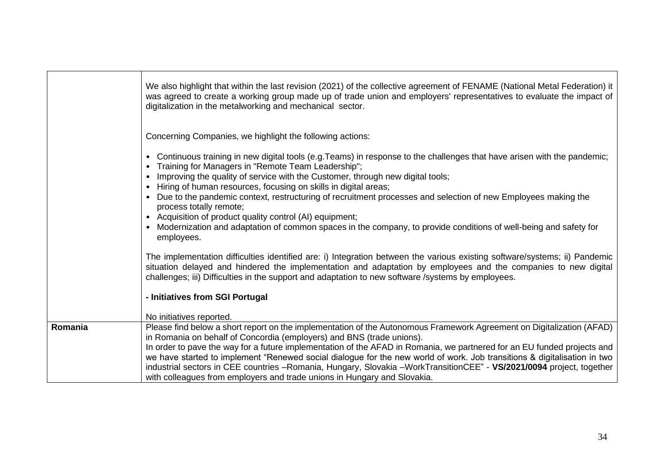| Concerning Companies, we highlight the following actions:                                                                                                                                                                                                                                                                                                                                                                                                                                                                                                                                                                                                                                |  |
|------------------------------------------------------------------------------------------------------------------------------------------------------------------------------------------------------------------------------------------------------------------------------------------------------------------------------------------------------------------------------------------------------------------------------------------------------------------------------------------------------------------------------------------------------------------------------------------------------------------------------------------------------------------------------------------|--|
| Continuous training in new digital tools (e.g. Teams) in response to the challenges that have arisen with the pandemic;<br>$\bullet$<br>Training for Managers in "Remote Team Leadership";<br>Improving the quality of service with the Customer, through new digital tools;<br>Hiring of human resources, focusing on skills in digital areas;<br>• Due to the pandemic context, restructuring of recruitment processes and selection of new Employees making the<br>process totally remote;<br>Acquisition of product quality control (AI) equipment;<br>$\bullet$<br>Modernization and adaptation of common spaces in the company, to provide conditions of well-being and safety for |  |
| employees.                                                                                                                                                                                                                                                                                                                                                                                                                                                                                                                                                                                                                                                                               |  |
| The implementation difficulties identified are: i) Integration between the various existing software/systems; ii) Pandemic<br>situation delayed and hindered the implementation and adaptation by employees and the companies to new digital<br>challenges; iii) Difficulties in the support and adaptation to new software /systems by employees.                                                                                                                                                                                                                                                                                                                                       |  |
| - Initiatives from SGI Portugal                                                                                                                                                                                                                                                                                                                                                                                                                                                                                                                                                                                                                                                          |  |
| No initiatives reported.                                                                                                                                                                                                                                                                                                                                                                                                                                                                                                                                                                                                                                                                 |  |
| Please find below a short report on the implementation of the Autonomous Framework Agreement on Digitalization (AFAD)<br>Romania<br>in Romania on behalf of Concordia (employers) and BNS (trade unions).                                                                                                                                                                                                                                                                                                                                                                                                                                                                                |  |
| In order to pave the way for a future implementation of the AFAD in Romania, we partnered for an EU funded projects and<br>we have started to implement "Renewed social dialogue for the new world of work. Job transitions & digitalisation in two<br>industrial sectors in CEE countries -Romania, Hungary, Slovakia -WorkTransitionCEE" - VS/2021/0094 project, together<br>with colleagues from employers and trade unions in Hungary and Slovakia.                                                                                                                                                                                                                                  |  |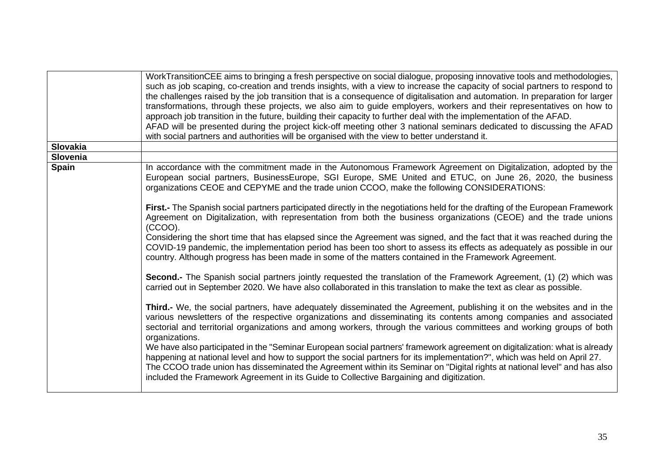| Slovakia<br>Slovenia<br><b>Spain</b><br>In accordance with the commitment made in the Autonomous Framework Agreement on Digitalization, adopted by the<br>organizations CEOE and CEPYME and the trade union CCOO, make the following CONSIDERATIONS:<br>First.- The Spanish social partners participated directly in the negotiations held for the drafting of the European Framework<br>Agreement on Digitalization, with representation from both the business organizations (CEOE) and the trade unions<br>(CCOO).<br>Considering the short time that has elapsed since the Agreement was signed, and the fact that it was reached during the<br>COVID-19 pandemic, the implementation period has been too short to assess its effects as adequately as possible in our<br>country. Although progress has been made in some of the matters contained in the Framework Agreement.<br>Second.- The Spanish social partners jointly requested the translation of the Framework Agreement, (1) (2) which was<br>carried out in September 2020. We have also collaborated in this translation to make the text as clear as possible.<br>Third.- We, the social partners, have adequately disseminated the Agreement, publishing it on the websites and in the<br>various newsletters of the respective organizations and disseminating its contents among companies and associated<br>sectorial and territorial organizations and among workers, through the various committees and working groups of both<br>organizations.<br>We have also participated in the "Seminar European social partners' framework agreement on digitalization: what is already<br>happening at national level and how to support the social partners for its implementation?", which was held on April 27.<br>The CCOO trade union has disseminated the Agreement within its Seminar on "Digital rights at national level" and has also<br>included the Framework Agreement in its Guide to Collective Bargaining and digitization. | WorkTransitionCEE aims to bringing a fresh perspective on social dialogue, proposing innovative tools and methodologies,<br>such as job scaping, co-creation and trends insights, with a view to increase the capacity of social partners to respond to<br>the challenges raised by the job transition that is a consequence of digitalisation and automation. In preparation for larger<br>transformations, through these projects, we also aim to guide employers, workers and their representatives on how to<br>approach job transition in the future, building their capacity to further deal with the implementation of the AFAD.<br>AFAD will be presented during the project kick-off meeting other 3 national seminars dedicated to discussing the AFAD<br>with social partners and authorities will be organised with the view to better understand it. |
|---------------------------------------------------------------------------------------------------------------------------------------------------------------------------------------------------------------------------------------------------------------------------------------------------------------------------------------------------------------------------------------------------------------------------------------------------------------------------------------------------------------------------------------------------------------------------------------------------------------------------------------------------------------------------------------------------------------------------------------------------------------------------------------------------------------------------------------------------------------------------------------------------------------------------------------------------------------------------------------------------------------------------------------------------------------------------------------------------------------------------------------------------------------------------------------------------------------------------------------------------------------------------------------------------------------------------------------------------------------------------------------------------------------------------------------------------------------------------------------------------------------------------------------------------------------------------------------------------------------------------------------------------------------------------------------------------------------------------------------------------------------------------------------------------------------------------------------------------------------------------------------------------------------------------------------------------------------------------------------------------------------|-------------------------------------------------------------------------------------------------------------------------------------------------------------------------------------------------------------------------------------------------------------------------------------------------------------------------------------------------------------------------------------------------------------------------------------------------------------------------------------------------------------------------------------------------------------------------------------------------------------------------------------------------------------------------------------------------------------------------------------------------------------------------------------------------------------------------------------------------------------------|
|                                                                                                                                                                                                                                                                                                                                                                                                                                                                                                                                                                                                                                                                                                                                                                                                                                                                                                                                                                                                                                                                                                                                                                                                                                                                                                                                                                                                                                                                                                                                                                                                                                                                                                                                                                                                                                                                                                                                                                                                               |                                                                                                                                                                                                                                                                                                                                                                                                                                                                                                                                                                                                                                                                                                                                                                                                                                                                   |
|                                                                                                                                                                                                                                                                                                                                                                                                                                                                                                                                                                                                                                                                                                                                                                                                                                                                                                                                                                                                                                                                                                                                                                                                                                                                                                                                                                                                                                                                                                                                                                                                                                                                                                                                                                                                                                                                                                                                                                                                               |                                                                                                                                                                                                                                                                                                                                                                                                                                                                                                                                                                                                                                                                                                                                                                                                                                                                   |
|                                                                                                                                                                                                                                                                                                                                                                                                                                                                                                                                                                                                                                                                                                                                                                                                                                                                                                                                                                                                                                                                                                                                                                                                                                                                                                                                                                                                                                                                                                                                                                                                                                                                                                                                                                                                                                                                                                                                                                                                               | European social partners, BusinessEurope, SGI Europe, SME United and ETUC, on June 26, 2020, the business                                                                                                                                                                                                                                                                                                                                                                                                                                                                                                                                                                                                                                                                                                                                                         |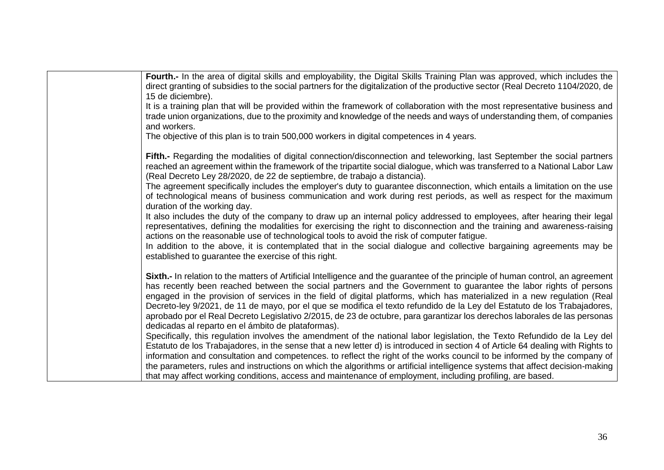| Fourth.- In the area of digital skills and employability, the Digital Skills Training Plan was approved, which includes the<br>direct granting of subsidies to the social partners for the digitalization of the productive sector (Real Decreto 1104/2020, de<br>15 de diciembre).<br>It is a training plan that will be provided within the framework of collaboration with the most representative business and<br>trade union organizations, due to the proximity and knowledge of the needs and ways of understanding them, of companies<br>and workers.                                                                                                                                                                                                                                                                                                                                                                                                                                                                                                                                                                                                                                                                                                                                                                             |
|-------------------------------------------------------------------------------------------------------------------------------------------------------------------------------------------------------------------------------------------------------------------------------------------------------------------------------------------------------------------------------------------------------------------------------------------------------------------------------------------------------------------------------------------------------------------------------------------------------------------------------------------------------------------------------------------------------------------------------------------------------------------------------------------------------------------------------------------------------------------------------------------------------------------------------------------------------------------------------------------------------------------------------------------------------------------------------------------------------------------------------------------------------------------------------------------------------------------------------------------------------------------------------------------------------------------------------------------|
| The objective of this plan is to train 500,000 workers in digital competences in 4 years.                                                                                                                                                                                                                                                                                                                                                                                                                                                                                                                                                                                                                                                                                                                                                                                                                                                                                                                                                                                                                                                                                                                                                                                                                                                 |
| Fifth.- Regarding the modalities of digital connection/disconnection and teleworking, last September the social partners<br>reached an agreement within the framework of the tripartite social dialogue, which was transferred to a National Labor Law<br>(Real Decreto Ley 28/2020, de 22 de septiembre, de trabajo a distancia).<br>The agreement specifically includes the employer's duty to guarantee disconnection, which entails a limitation on the use<br>of technological means of business communication and work during rest periods, as well as respect for the maximum<br>duration of the working day.<br>It also includes the duty of the company to draw up an internal policy addressed to employees, after hearing their legal<br>representatives, defining the modalities for exercising the right to disconnection and the training and awareness-raising<br>actions on the reasonable use of technological tools to avoid the risk of computer fatigue.<br>In addition to the above, it is contemplated that in the social dialogue and collective bargaining agreements may be<br>established to guarantee the exercise of this right.                                                                                                                                                                              |
| Sixth.- In relation to the matters of Artificial Intelligence and the guarantee of the principle of human control, an agreement<br>has recently been reached between the social partners and the Government to guarantee the labor rights of persons<br>engaged in the provision of services in the field of digital platforms, which has materialized in a new regulation (Real<br>Decreto-ley 9/2021, de 11 de mayo, por el que se modifica el texto refundido de la Ley del Estatuto de los Trabajadores,<br>aprobado por el Real Decreto Legislativo 2/2015, de 23 de octubre, para garantizar los derechos laborales de las personas<br>dedicadas al reparto en el ámbito de plataformas).<br>Specifically, this regulation involves the amendment of the national labor legislation, the Texto Refundido de la Ley del<br>Estatuto de los Trabajadores, in the sense that a new letter d) is introduced in section 4 of Article 64 dealing with Rights to<br>information and consultation and competences. to reflect the right of the works council to be informed by the company of<br>the parameters, rules and instructions on which the algorithms or artificial intelligence systems that affect decision-making<br>that may affect working conditions, access and maintenance of employment, including profiling, are based. |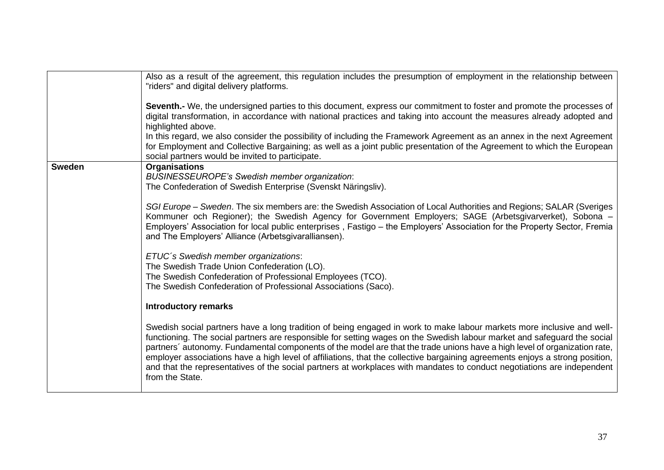|               | Also as a result of the agreement, this regulation includes the presumption of employment in the relationship between<br>"riders" and digital delivery platforms.                                                                                                                                                                                                                                                                                                                                                                                                                                                                                             |
|---------------|---------------------------------------------------------------------------------------------------------------------------------------------------------------------------------------------------------------------------------------------------------------------------------------------------------------------------------------------------------------------------------------------------------------------------------------------------------------------------------------------------------------------------------------------------------------------------------------------------------------------------------------------------------------|
|               | Seventh.- We, the undersigned parties to this document, express our commitment to foster and promote the processes of<br>digital transformation, in accordance with national practices and taking into account the measures already adopted and<br>highlighted above.                                                                                                                                                                                                                                                                                                                                                                                         |
|               | In this regard, we also consider the possibility of including the Framework Agreement as an annex in the next Agreement<br>for Employment and Collective Bargaining; as well as a joint public presentation of the Agreement to which the European<br>social partners would be invited to participate.                                                                                                                                                                                                                                                                                                                                                        |
| <b>Sweden</b> | <b>Organisations</b><br><b>BUSINESSEUROPE's Swedish member organization:</b><br>The Confederation of Swedish Enterprise (Svenskt Näringsliv).                                                                                                                                                                                                                                                                                                                                                                                                                                                                                                                 |
|               | SGI Europe - Sweden. The six members are: the Swedish Association of Local Authorities and Regions; SALAR (Sveriges<br>Kommuner och Regioner); the Swedish Agency for Government Employers; SAGE (Arbetsgivarverket), Sobona -<br>Employers' Association for local public enterprises, Fastigo - the Employers' Association for the Property Sector, Fremia<br>and The Employers' Alliance (Arbetsgivaralliansen).                                                                                                                                                                                                                                            |
|               | ETUC's Swedish member organizations:<br>The Swedish Trade Union Confederation (LO).<br>The Swedish Confederation of Professional Employees (TCO).<br>The Swedish Confederation of Professional Associations (Saco).                                                                                                                                                                                                                                                                                                                                                                                                                                           |
|               | <b>Introductory remarks</b>                                                                                                                                                                                                                                                                                                                                                                                                                                                                                                                                                                                                                                   |
|               | Swedish social partners have a long tradition of being engaged in work to make labour markets more inclusive and well-<br>functioning. The social partners are responsible for setting wages on the Swedish labour market and safeguard the social<br>partners' autonomy. Fundamental components of the model are that the trade unions have a high level of organization rate,<br>employer associations have a high level of affiliations, that the collective bargaining agreements enjoys a strong position,<br>and that the representatives of the social partners at workplaces with mandates to conduct negotiations are independent<br>from the State. |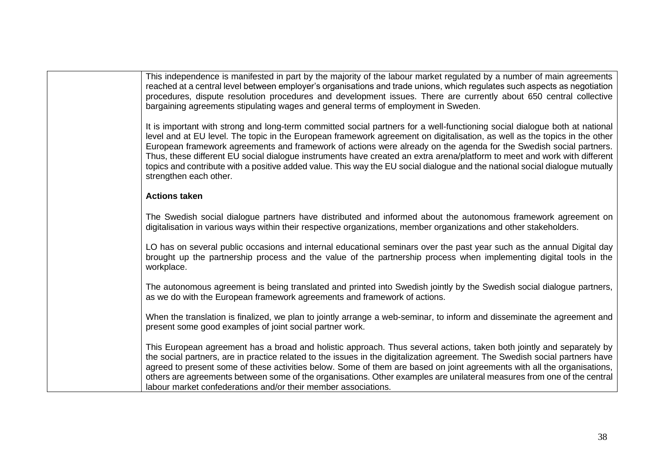This independence is manifested in part by the majority of the labour market regulated by a number of main agreements reached at a central level between employer's organisations and trade unions, which regulates such aspects as negotiation procedures, dispute resolution procedures and development issues. There are currently about 650 central collective bargaining agreements stipulating wages and general terms of employment in Sweden.

It is important with strong and long-term committed social partners for a well-functioning social dialogue both at national level and at EU level. The topic in the European framework agreement on digitalisation, as well as the topics in the other European framework agreements and framework of actions were already on the agenda for the Swedish social partners. Thus, these different EU social dialogue instruments have created an extra arena/platform to meet and work with different topics and contribute with a positive added value. This way the EU social dialogue and the national social dialogue mutually strengthen each other.

#### **Actions taken**

The Swedish social dialogue partners have distributed and informed about the autonomous framework agreement on digitalisation in various ways within their respective organizations, member organizations and other stakeholders.

LO has on several public occasions and internal educational seminars over the past year such as the annual Digital day brought up the partnership process and the value of the partnership process when implementing digital tools in the workplace.

The autonomous agreement is being translated and printed into Swedish jointly by the Swedish social dialogue partners, as we do with the European framework agreements and framework of actions.

When the translation is finalized, we plan to jointly arrange a web-seminar, to inform and disseminate the agreement and present some good examples of joint social partner work.

This European agreement has a broad and holistic approach. Thus several actions, taken both jointly and separately by the social partners, are in practice related to the issues in the digitalization agreement. The Swedish social partners have agreed to present some of these activities below. Some of them are based on joint agreements with all the organisations, others are agreements between some of the organisations. Other examples are unilateral measures from one of the central labour market confederations and/or their member associations.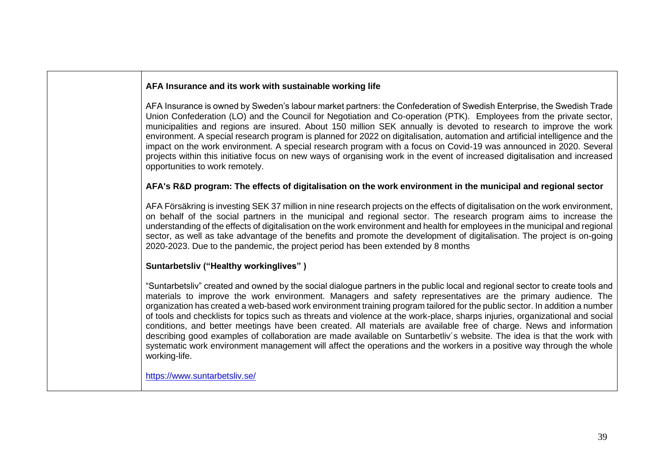# **AFA Insurance and its work with sustainable working life**

AFA Insurance is owned by Sweden's labour market partners: the Confederation of Swedish Enterprise, the Swedish Trade Union Confederation (LO) and the Council for Negotiation and Co-operation (PTK). Employees from the private sector, municipalities and regions are insured. About 150 million SEK annually is devoted to research to improve the work environment. A special research program is planned for 2022 on digitalisation, automation and artificial intelligence and the impact on the work environment. A special research program with a focus on Covid-19 was announced in 2020. Several projects within this initiative focus on new ways of organising work in the event of increased digitalisation and increased opportunities to work remotely.

# **AFA's R&D program: The effects of digitalisation on the work environment in the municipal and regional sector**

AFA Försäkring is investing SEK 37 million in nine research projects on the effects of digitalisation on the work environment, on behalf of the social partners in the municipal and regional sector. The research program aims to increase the understanding of the effects of digitalisation on the work environment and health for employees in the municipal and regional sector, as well as take advantage of the benefits and promote the development of digitalisation. The project is on-going 2020-2023. Due to the pandemic, the project period has been extended by 8 months

## **Suntarbetsliv ("Healthy workinglives" )**

"Suntarbetsliv" created and owned by the social dialogue partners in the public local and regional sector to create tools and materials to improve the work environment. Managers and safety representatives are the primary audience. The organization has created a web-based work environment training program tailored for the public sector. In addition a number of tools and checklists for topics such as threats and violence at the work-place, sharps injuries, organizational and social conditions, and better meetings have been created. All materials are available free of charge. News and information describing good examples of collaboration are made available on Suntarbetliv´s website. The idea is that the work with systematic work environment management will affect the operations and the workers in a positive way through the whole working-life.

<https://www.suntarbetsliv.se/>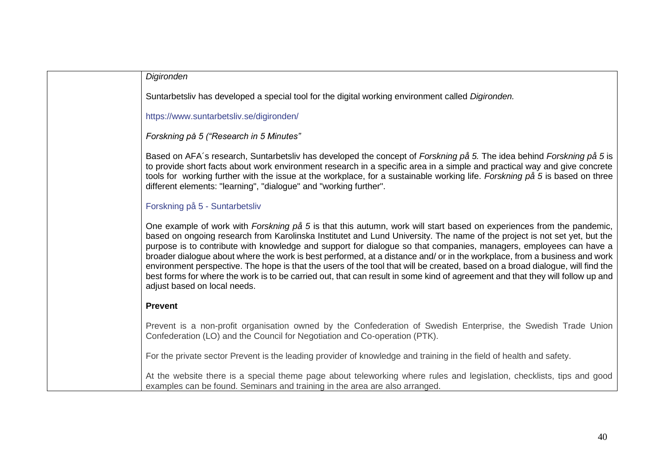| Digironden                                                                                                                                                                                                                                                                                                                                                                                                                                                                                                                                                                                                                                                                                                                                                                                               |
|----------------------------------------------------------------------------------------------------------------------------------------------------------------------------------------------------------------------------------------------------------------------------------------------------------------------------------------------------------------------------------------------------------------------------------------------------------------------------------------------------------------------------------------------------------------------------------------------------------------------------------------------------------------------------------------------------------------------------------------------------------------------------------------------------------|
| Suntarbetsliv has developed a special tool for the digital working environment called Digironden.                                                                                                                                                                                                                                                                                                                                                                                                                                                                                                                                                                                                                                                                                                        |
| https://www.suntarbetsliv.se/digironden/                                                                                                                                                                                                                                                                                                                                                                                                                                                                                                                                                                                                                                                                                                                                                                 |
| Forskning på 5 ("Research in 5 Minutes"                                                                                                                                                                                                                                                                                                                                                                                                                                                                                                                                                                                                                                                                                                                                                                  |
| Based on AFA's research, Suntarbetsliv has developed the concept of Forskning på 5. The idea behind Forskning på 5 is<br>to provide short facts about work environment research in a specific area in a simple and practical way and give concrete<br>tools for working further with the issue at the workplace, for a sustainable working life. Forskning på 5 is based on three<br>different elements: "learning", "dialogue" and "working further".                                                                                                                                                                                                                                                                                                                                                   |
| Forskning på 5 - Suntarbetsliv                                                                                                                                                                                                                                                                                                                                                                                                                                                                                                                                                                                                                                                                                                                                                                           |
| One example of work with Forskning på 5 is that this autumn, work will start based on experiences from the pandemic,<br>based on ongoing research from Karolinska Institutet and Lund University. The name of the project is not set yet, but the<br>purpose is to contribute with knowledge and support for dialogue so that companies, managers, employees can have a<br>broader dialogue about where the work is best performed, at a distance and/ or in the workplace, from a business and work<br>environment perspective. The hope is that the users of the tool that will be created, based on a broad dialogue, will find the<br>best forms for where the work is to be carried out, that can result in some kind of agreement and that they will follow up and<br>adjust based on local needs. |
| <b>Prevent</b>                                                                                                                                                                                                                                                                                                                                                                                                                                                                                                                                                                                                                                                                                                                                                                                           |
| Prevent is a non-profit organisation owned by the Confederation of Swedish Enterprise, the Swedish Trade Union<br>Confederation (LO) and the Council for Negotiation and Co-operation (PTK).                                                                                                                                                                                                                                                                                                                                                                                                                                                                                                                                                                                                             |
| For the private sector Prevent is the leading provider of knowledge and training in the field of health and safety.                                                                                                                                                                                                                                                                                                                                                                                                                                                                                                                                                                                                                                                                                      |
| At the website there is a special theme page about teleworking where rules and legislation, checklists, tips and good<br>examples can be found. Seminars and training in the area are also arranged.                                                                                                                                                                                                                                                                                                                                                                                                                                                                                                                                                                                                     |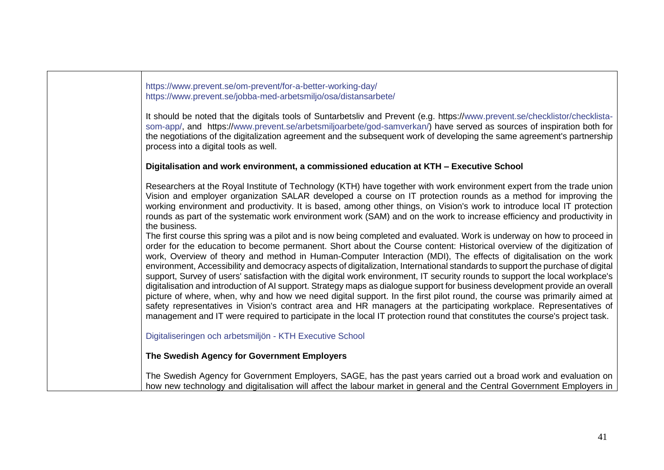[https://www.prevent.se/om-prevent/for-a-better-working-day/](http://www.prevent.se/om-prevent/for-a-better-working-day/) [https://www.prevent.se/jobba-med-arbetsmiljo/osa/distansarbete/](http://www.prevent.se/jobba-med-arbetsmiljo/osa/distansarbete/)

It should be noted that the digitals tools of Suntarbetsliv and Prevent (e.g. https:/[/www.prevent.se/checklistor/checklista](http://www.prevent.se/checklistor/checklista-som-app/)[som-app/,](http://www.prevent.se/checklistor/checklista-som-app/) and https:/[/www.prevent.se/arbetsmiljoarbete/god-samverkan/\)](http://www.prevent.se/arbetsmiljoarbete/god-samverkan/) have served as sources of inspiration both for the negotiations of the digitalization agreement and the subsequent work of developing the same agreement's partnership process into a digital tools as well.

#### **Digitalisation and work environment, a commissioned education at KTH – Executive School**

Researchers at the Royal Institute of Technology (KTH) have together with work environment expert from the trade union Vision and employer organization SALAR developed a course on IT protection rounds as a method for improving the working environment and productivity. It is based, among other things, on Vision's work to introduce local IT protection rounds as part of the systematic work environment work (SAM) and on the work to increase efficiency and productivity in the business.

The first course this spring was a pilot and is now being completed and evaluated. Work is underway on how to proceed in order for the education to become permanent. Short about the Course content: Historical overview of the digitization of work, Overview of theory and method in Human-Computer Interaction (MDI), The effects of digitalisation on the work environment, Accessibility and democracy aspects of digitalization, International standards to support the purchase of digital support, Survey of users' satisfaction with the digital work environment, IT security rounds to support the local workplace's digitalisation and introduction of AI support. Strategy maps as dialogue support for business development provide an overall picture of where, when, why and how we need digital support. In the first pilot round, the course was primarily aimed at safety representatives in Vision's contract area and HR managers at the participating workplace. Representatives of management and IT were required to participate in the local IT protection round that constitutes the course's project task.

[Digitaliseringen och arbetsmiljön -](https://kthexecutiveschool.se/digitaliseringen-och-arbetsmiljon/) KTH Executive School

## **The Swedish Agency for Government Employers**

The Swedish Agency for Government Employers, SAGE, has the past years carried out a broad work and evaluation on how new technology and digitalisation will affect the labour market in general and the Central Government Employers in